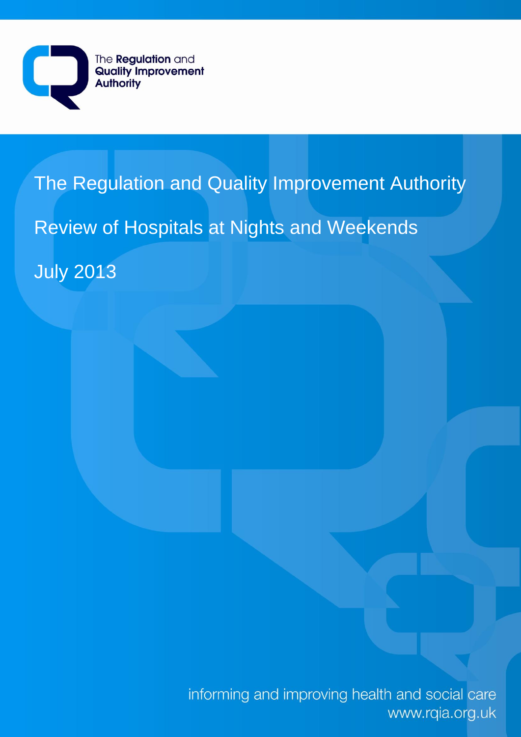

# The Regulation and Quality Improvement Authority Review of Hospitals at Nights and Weekends July 2013

informing and improving health and social care www.rqia.org.uk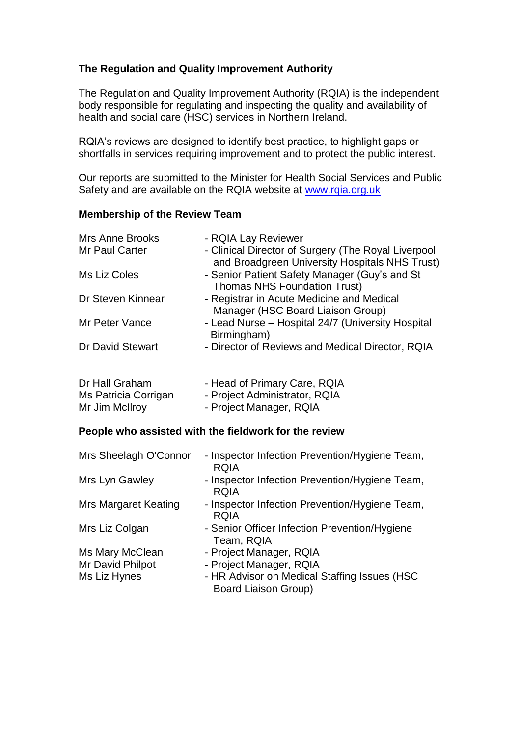# **The Regulation and Quality Improvement Authority**

The Regulation and Quality Improvement Authority (RQIA) is the independent body responsible for regulating and inspecting the quality and availability of health and social care (HSC) services in Northern Ireland.

RQIA's reviews are designed to identify best practice, to highlight gaps or shortfalls in services requiring improvement and to protect the public interest.

Our reports are submitted to the Minister for Health Social Services and Public Safety and are available on the RQIA website at [www.rqia.org.uk](http://www.rqia.org.uk/)

#### **Membership of the Review Team**

| Mrs Anne Brooks                                          | - RQIA Lay Reviewer                                                                                   |
|----------------------------------------------------------|-------------------------------------------------------------------------------------------------------|
| Mr Paul Carter                                           | - Clinical Director of Surgery (The Royal Liverpool<br>and Broadgreen University Hospitals NHS Trust) |
| Ms Liz Coles                                             | - Senior Patient Safety Manager (Guy's and St<br><b>Thomas NHS Foundation Trust)</b>                  |
| Dr Steven Kinnear                                        | - Registrar in Acute Medicine and Medical<br>Manager (HSC Board Liaison Group)                        |
| Mr Peter Vance                                           | - Lead Nurse - Hospital 24/7 (University Hospital<br>Birmingham)                                      |
| Dr David Stewart                                         | - Director of Reviews and Medical Director, RQIA                                                      |
| Dr Hall Graham<br>Ms Patricia Corrigan<br>Mr Jim McIlroy | - Head of Primary Care, RQIA<br>- Project Administrator, RQIA<br>- Project Manager, RQIA              |
|                                                          | People who assisted with the fieldwork for the review                                                 |
| Mrs Sheelagh O'Connor                                    | - Inspector Infection Prevention/Hygiene Team,<br><b>RQIA</b>                                         |
| Mrs Lyn Gawley                                           | - Inspector Infection Prevention/Hygiene Team,<br><b>RQIA</b>                                         |
| <b>Mrs Margaret Keating</b>                              | - Inspector Infection Prevention/Hygiene Team,                                                        |

 RQIA Mrs Liz Colgan - Senior Officer Infection Prevention/Hygiene Team, RQIA

Ms Mary McClean - Project Manager, RQIA Mr David Philpot - Project Manager, RQIA

Ms Liz Hynes - HR Advisor on Medical Staffing Issues (HSC Board Liaison Group)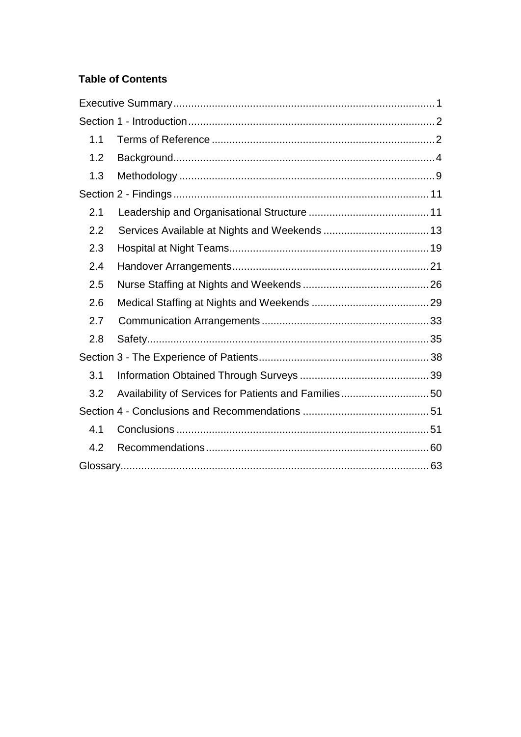# **Table of Contents**

| 1.1 |                                                      |  |
|-----|------------------------------------------------------|--|
| 1.2 |                                                      |  |
| 1.3 |                                                      |  |
|     |                                                      |  |
| 2.1 |                                                      |  |
| 2.2 |                                                      |  |
| 2.3 |                                                      |  |
| 2.4 |                                                      |  |
| 2.5 |                                                      |  |
| 2.6 |                                                      |  |
| 2.7 |                                                      |  |
| 2.8 |                                                      |  |
|     |                                                      |  |
| 3.1 |                                                      |  |
| 3.2 | Availability of Services for Patients and Families50 |  |
|     |                                                      |  |
| 4.1 |                                                      |  |
| 4.2 |                                                      |  |
|     |                                                      |  |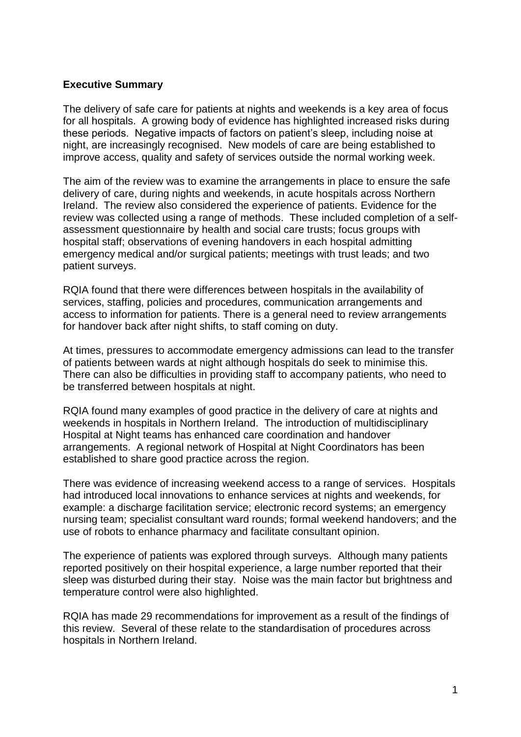#### <span id="page-3-0"></span>**Executive Summary**

The delivery of safe care for patients at nights and weekends is a key area of focus for all hospitals. A growing body of evidence has highlighted increased risks during these periods. Negative impacts of factors on patient's sleep, including noise at night, are increasingly recognised. New models of care are being established to improve access, quality and safety of services outside the normal working week.

The aim of the review was to examine the arrangements in place to ensure the safe delivery of care, during nights and weekends, in acute hospitals across Northern Ireland. The review also considered the experience of patients. Evidence for the review was collected using a range of methods. These included completion of a selfassessment questionnaire by health and social care trusts; focus groups with hospital staff; observations of evening handovers in each hospital admitting emergency medical and/or surgical patients; meetings with trust leads; and two patient surveys.

RQIA found that there were differences between hospitals in the availability of services, staffing, policies and procedures, communication arrangements and access to information for patients. There is a general need to review arrangements for handover back after night shifts, to staff coming on duty.

At times, pressures to accommodate emergency admissions can lead to the transfer of patients between wards at night although hospitals do seek to minimise this. There can also be difficulties in providing staff to accompany patients, who need to be transferred between hospitals at night.

RQIA found many examples of good practice in the delivery of care at nights and weekends in hospitals in Northern Ireland. The introduction of multidisciplinary Hospital at Night teams has enhanced care coordination and handover arrangements. A regional network of Hospital at Night Coordinators has been established to share good practice across the region.

There was evidence of increasing weekend access to a range of services. Hospitals had introduced local innovations to enhance services at nights and weekends, for example: a discharge facilitation service; electronic record systems; an emergency nursing team; specialist consultant ward rounds; formal weekend handovers; and the use of robots to enhance pharmacy and facilitate consultant opinion.

The experience of patients was explored through surveys. Although many patients reported positively on their hospital experience, a large number reported that their sleep was disturbed during their stay. Noise was the main factor but brightness and temperature control were also highlighted.

RQIA has made 29 recommendations for improvement as a result of the findings of this review. Several of these relate to the standardisation of procedures across hospitals in Northern Ireland.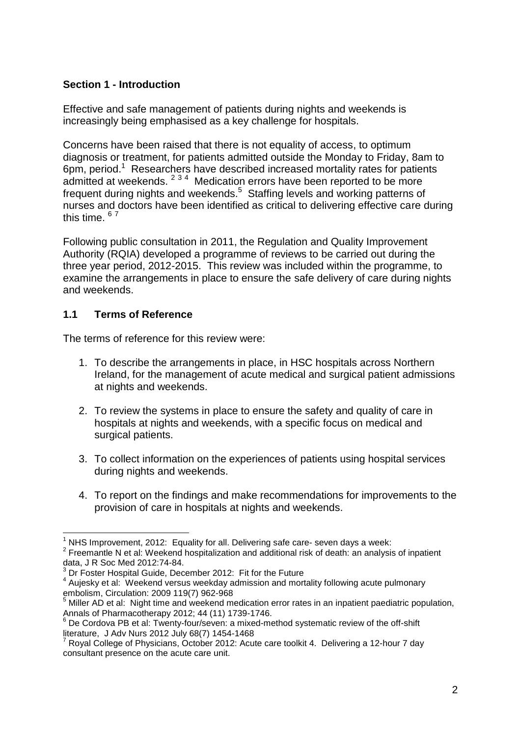# <span id="page-4-0"></span>**Section 1 - Introduction**

Effective and safe management of patients during nights and weekends is increasingly being emphasised as a key challenge for hospitals.

Concerns have been raised that there is not equality of access, to optimum diagnosis or treatment, for patients admitted outside the Monday to Friday, 8am to 6pm, period.<sup>1</sup> Researchers have described increased mortality rates for patients admitted at weekends.  $2^{34}$  Medication errors have been reported to be more frequent during nights and weekends.<sup>5</sup> Staffing levels and working patterns of nurses and doctors have been identified as critical to delivering effective care during this time. 67

Following public consultation in 2011, the Regulation and Quality Improvement Authority (RQIA) developed a programme of reviews to be carried out during the three year period, 2012-2015. This review was included within the programme, to examine the arrangements in place to ensure the safe delivery of care during nights and weekends.

# <span id="page-4-1"></span>**1.1 Terms of Reference**

The terms of reference for this review were:

- 1. To describe the arrangements in place, in HSC hospitals across Northern Ireland, for the management of acute medical and surgical patient admissions at nights and weekends.
- 2. To review the systems in place to ensure the safety and quality of care in hospitals at nights and weekends, with a specific focus on medical and surgical patients.
- 3. To collect information on the experiences of patients using hospital services during nights and weekends.
- 4. To report on the findings and make recommendations for improvements to the provision of care in hospitals at nights and weekends.

<sup>1</sup>  $1$  NHS Improvement, 2012: Equality for all. Delivering safe care- seven days a week:

 $2$  Freemantle N et al: Weekend hospitalization and additional risk of death: an analysis of inpatient data, J R Soc Med 2012:74-84.

 $3$  Dr Foster Hospital Guide, December 2012: Fit for the Future

 $4$  Aujesky et al: Weekend versus weekday admission and mortality following acute pulmonary embolism, Circulation: 2009 119(7) 962-968

<sup>5</sup> Miller AD et al: Night time and weekend medication error rates in an inpatient paediatric population, Annals of Pharmacotherapy 2012; 44 (11) 1739-1746.

 $6$  De Cordova PB et al: Twenty-four/seven: a mixed-method systematic review of the off-shift literature, J Adv Nurs 2012 July 68(7) 1454-1468

<sup>7</sup> Royal College of Physicians, October 2012: Acute care toolkit 4. Delivering a 12-hour 7 day consultant presence on the acute care unit.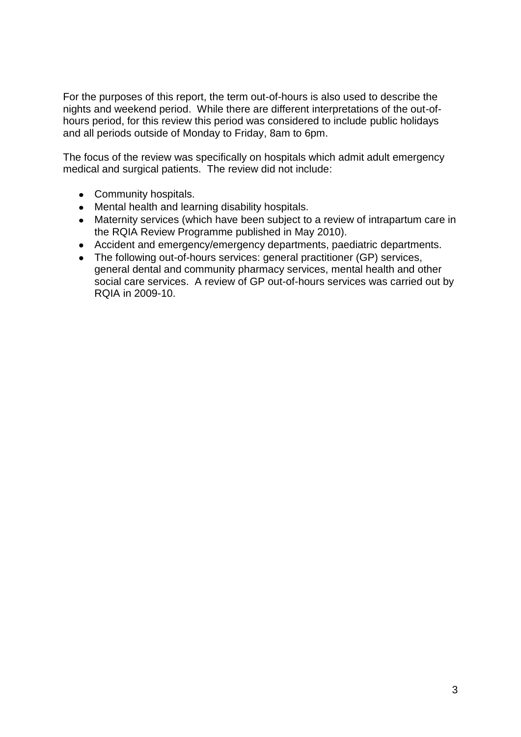For the purposes of this report, the term out-of-hours is also used to describe the nights and weekend period. While there are different interpretations of the out-ofhours period, for this review this period was considered to include public holidays and all periods outside of Monday to Friday, 8am to 6pm.

The focus of the review was specifically on hospitals which admit adult emergency medical and surgical patients. The review did not include:

- Community hospitals.
- Mental health and learning disability hospitals.
- Maternity services (which have been subject to a review of intrapartum care in the RQIA Review Programme published in May 2010).
- Accident and emergency/emergency departments, paediatric departments.
- The following out-of-hours services: general practitioner (GP) services, general dental and community pharmacy services, mental health and other social care services. A review of GP out-of-hours services was carried out by RQIA in 2009-10.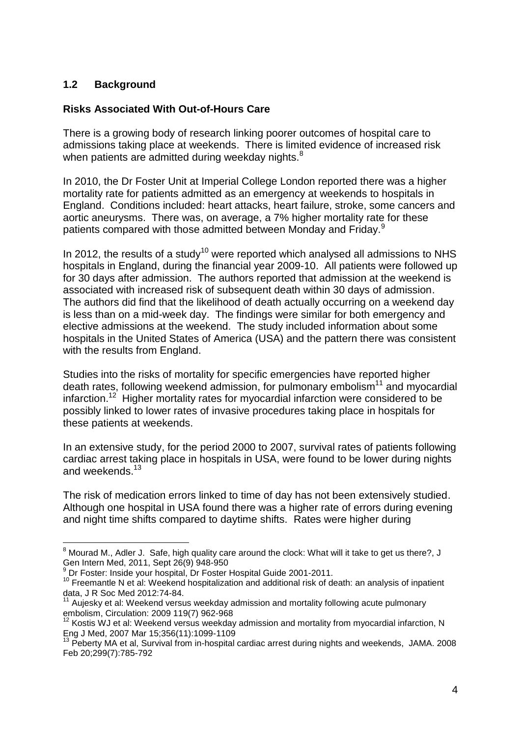# <span id="page-6-0"></span>**1.2 Background**

# **Risks Associated With Out-of-Hours Care**

There is a growing body of research linking poorer outcomes of hospital care to admissions taking place at weekends. There is limited evidence of increased risk when patients are admitted during weekday nights.<sup>8</sup>

In 2010, the Dr Foster Unit at Imperial College London reported there was a higher mortality rate for patients admitted as an emergency at weekends to hospitals in England. Conditions included: heart attacks, heart failure, stroke, some cancers and aortic aneurysms. There was, on average, a 7% higher mortality rate for these patients compared with those admitted between Monday and Friday.<sup>9</sup>

In 2012, the results of a study<sup>10</sup> were reported which analysed all admissions to NHS hospitals in England, during the financial year 2009-10. All patients were followed up for 30 days after admission. The authors reported that admission at the weekend is associated with increased risk of subsequent death within 30 days of admission. The authors did find that the likelihood of death actually occurring on a weekend day is less than on a mid-week day. The findings were similar for both emergency and elective admissions at the weekend. The study included information about some hospitals in the United States of America (USA) and the pattern there was consistent with the results from England.

Studies into the risks of mortality for specific emergencies have reported higher death rates, following weekend admission, for pulmonary embolism $11$  and myocardial infarction.<sup>12</sup> Higher mortality rates for myocardial infarction were considered to be possibly linked to lower rates of invasive procedures taking place in hospitals for these patients at weekends.

In an extensive study, for the period 2000 to 2007, survival rates of patients following cardiac arrest taking place in hospitals in USA, were found to be lower during nights and weekends.<sup>13</sup>

The risk of medication errors linked to time of day has not been extensively studied. Although one hospital in USA found there was a higher rate of errors during evening and night time shifts compared to daytime shifts. Rates were higher during

<sup>1</sup>  $^8$  Mourad M., Adler J. Safe, high quality care around the clock: What will it take to get us there?, J Gen Intern Med, 2011, Sept 26(9) 948-950

<sup>9</sup> Dr Foster: Inside your hospital, Dr Foster Hospital Guide 2001-2011.

<sup>&</sup>lt;sup>10</sup> Freemantle N et al: Weekend hospitalization and additional risk of death: an analysis of inpatient data, J R Soc Med 2012:74-84.

 $11$  Aujesky et al: Weekend versus weekday admission and mortality following acute pulmonary embolism, Circulation: 2009 119(7) 962-968

 $12$  Kostis WJ et al: Weekend versus weekday admission and mortality from myocardial infarction, N Eng J Med, 2007 Mar 15;356(11):1099-1109

<sup>&</sup>lt;sup>13</sup> Peberty MA et al, Survival from in-hospital cardiac arrest during nights and weekends, JAMA. 2008 Feb 20;299(7):785-792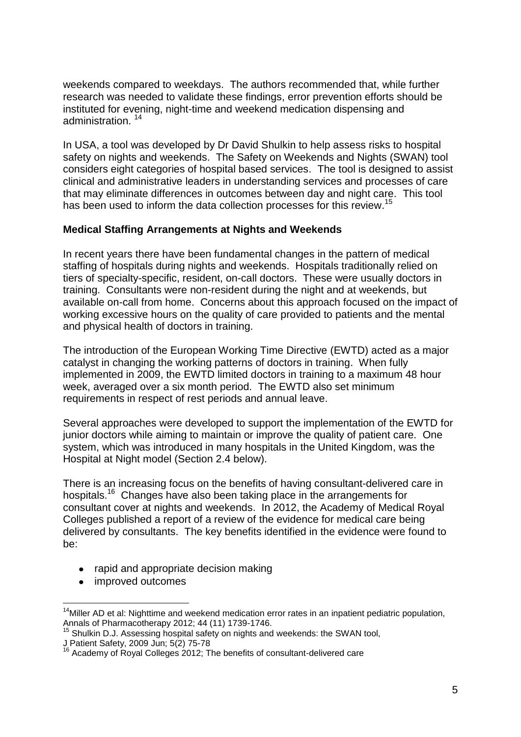weekends compared to weekdays. The authors recommended that, while further research was needed to validate these findings, error prevention efforts should be instituted for evening, night-time and weekend medication dispensing and administration.<sup>14</sup>

In USA, a tool was developed by Dr David Shulkin to help assess risks to hospital safety on nights and weekends. The Safety on Weekends and Nights (SWAN) tool considers eight categories of hospital based services. The tool is designed to assist clinical and administrative leaders in understanding services and processes of care that may eliminate differences in outcomes between day and night care. This tool has been used to inform the data collection processes for this review.<sup>15</sup>

# **Medical Staffing Arrangements at Nights and Weekends**

In recent years there have been fundamental changes in the pattern of medical staffing of hospitals during nights and weekends. Hospitals traditionally relied on tiers of specialty-specific, resident, on-call doctors. These were usually doctors in training. Consultants were non-resident during the night and at weekends, but available on-call from home. Concerns about this approach focused on the impact of working excessive hours on the quality of care provided to patients and the mental and physical health of doctors in training.

The introduction of the European Working Time Directive (EWTD) acted as a major catalyst in changing the working patterns of doctors in training. When fully implemented in 2009, the EWTD limited doctors in training to a maximum 48 hour week, averaged over a six month period. The EWTD also set minimum requirements in respect of rest periods and annual leave.

Several approaches were developed to support the implementation of the EWTD for junior doctors while aiming to maintain or improve the quality of patient care. One system, which was introduced in many hospitals in the United Kingdom, was the Hospital at Night model (Section 2.4 below).

There is an increasing focus on the benefits of having consultant-delivered care in hospitals.<sup>16</sup> Changes have also been taking place in the arrangements for consultant cover at nights and weekends. In 2012, the Academy of Medical Royal Colleges published a report of a review of the evidence for medical care being delivered by consultants. The key benefits identified in the evidence were found to be:

- rapid and appropriate decision making
- improved outcomes

<sup>1</sup>  $14$ Miller AD et al: Nighttime and weekend medication error rates in an inpatient pediatric population, Annals of Pharmacotherapy 2012; 44 (11) 1739-1746.

<sup>&</sup>lt;sup>15</sup> Shulkin D.J. Assessing hospital safety on nights and weekends: the SWAN tool,

J Patient Safety, 2009 Jun; 5(2) 75-78

<sup>&</sup>lt;sup>16</sup> Academy of Royal Colleges 2012; The benefits of consultant-delivered care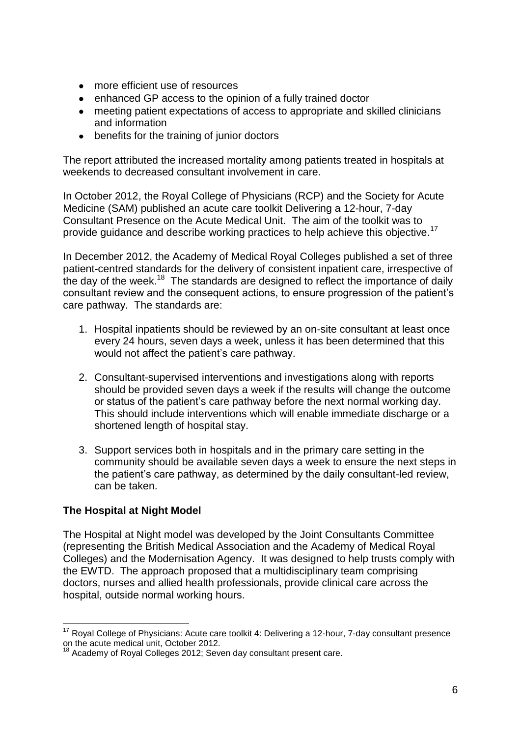- $\bullet$ more efficient use of resources
- enhanced GP access to the opinion of a fully trained doctor  $\bullet$
- $\bullet$ meeting patient expectations of access to appropriate and skilled clinicians and information
- benefits for the training of junior doctors  $\bullet$

The report attributed the increased mortality among patients treated in hospitals at weekends to decreased consultant involvement in care.

In October 2012, the Royal College of Physicians (RCP) and the Society for Acute Medicine (SAM) published an acute care toolkit Delivering a 12-hour, 7-day Consultant Presence on the Acute Medical Unit. The aim of the toolkit was to provide guidance and describe working practices to help achieve this objective.<sup>17</sup>

In December 2012, the Academy of Medical Royal Colleges published a set of three patient-centred standards for the delivery of consistent inpatient care, irrespective of the day of the week.<sup>18</sup> The standards are designed to reflect the importance of daily consultant review and the consequent actions, to ensure progression of the patient's care pathway. The standards are:

- 1. Hospital inpatients should be reviewed by an on-site consultant at least once every 24 hours, seven days a week, unless it has been determined that this would not affect the patient's care pathway.
- 2. Consultant-supervised interventions and investigations along with reports should be provided seven days a week if the results will change the outcome or status of the patient's care pathway before the next normal working day. This should include interventions which will enable immediate discharge or a shortened length of hospital stay.
- 3. Support services both in hospitals and in the primary care setting in the community should be available seven days a week to ensure the next steps in the patient's care pathway, as determined by the daily consultant-led review, can be taken.

# **The Hospital at Night Model**

1

The Hospital at Night model was developed by the Joint Consultants Committee (representing the British Medical Association and the Academy of Medical Royal Colleges) and the Modernisation Agency. It was designed to help trusts comply with the EWTD. The approach proposed that a multidisciplinary team comprising doctors, nurses and allied health professionals, provide clinical care across the hospital, outside normal working hours.

 $17$  Royal College of Physicians: Acute care toolkit 4: Delivering a 12-hour, 7-day consultant presence on the acute medical unit, October 2012.

 $18$  Academy of Royal Colleges 2012; Seven day consultant present care.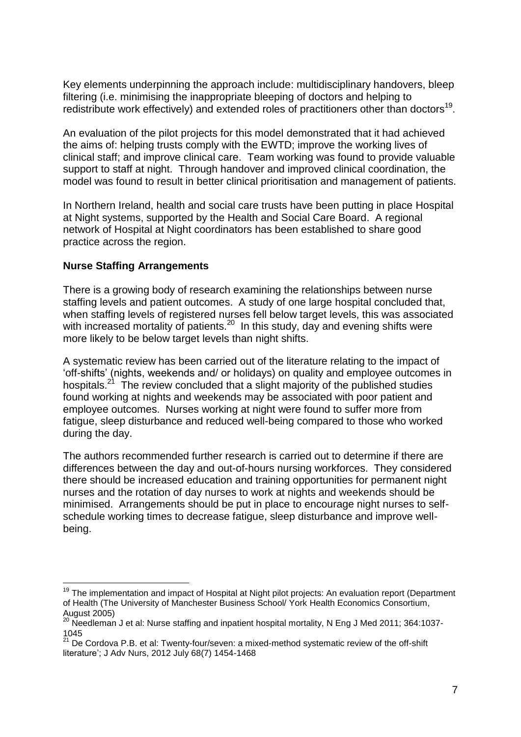Key elements underpinning the approach include: multidisciplinary handovers, bleep filtering (i.e. minimising the inappropriate bleeping of doctors and helping to redistribute work effectively) and extended roles of practitioners other than doctors<sup>19</sup>.

An evaluation of the pilot projects for this model demonstrated that it had achieved the aims of: helping trusts comply with the EWTD; improve the working lives of clinical staff; and improve clinical care. Team working was found to provide valuable support to staff at night. Through handover and improved clinical coordination, the model was found to result in better clinical prioritisation and management of patients.

In Northern Ireland, health and social care trusts have been putting in place Hospital at Night systems, supported by the Health and Social Care Board. A regional network of Hospital at Night coordinators has been established to share good practice across the region.

#### **Nurse Staffing Arrangements**

1

There is a growing body of research examining the relationships between nurse staffing levels and patient outcomes. A study of one large hospital concluded that, when staffing levels of registered nurses fell below target levels, this was associated with increased mortality of patients.<sup>20</sup> In this study, day and evening shifts were more likely to be below target levels than night shifts.

A systematic review has been carried out of the literature relating to the impact of 'off-shifts' (nights, weekends and/ or holidays) on quality and employee outcomes in hospitals.<sup>21</sup> The review concluded that a slight majority of the published studies found working at nights and weekends may be associated with poor patient and employee outcomes. Nurses working at night were found to suffer more from fatigue, sleep disturbance and reduced well-being compared to those who worked during the day.

The authors recommended further research is carried out to determine if there are differences between the day and out-of-hours nursing workforces. They considered there should be increased education and training opportunities for permanent night nurses and the rotation of day nurses to work at nights and weekends should be minimised. Arrangements should be put in place to encourage night nurses to selfschedule working times to decrease fatigue, sleep disturbance and improve wellbeing.

<sup>&</sup>lt;sup>19</sup> The implementation and impact of Hospital at Night pilot projects: An evaluation report (Department of Health (The University of Manchester Business School/ York Health Economics Consortium, August 2005)

 $^{20}$  Needleman J et al: Nurse staffing and inpatient hospital mortality, N Eng J Med 2011; 364:1037-1045

 $21$  De Cordova P.B. et al: Twenty-four/seven: a mixed-method systematic review of the off-shift literature'; J Adv Nurs, 2012 July 68(7) 1454-1468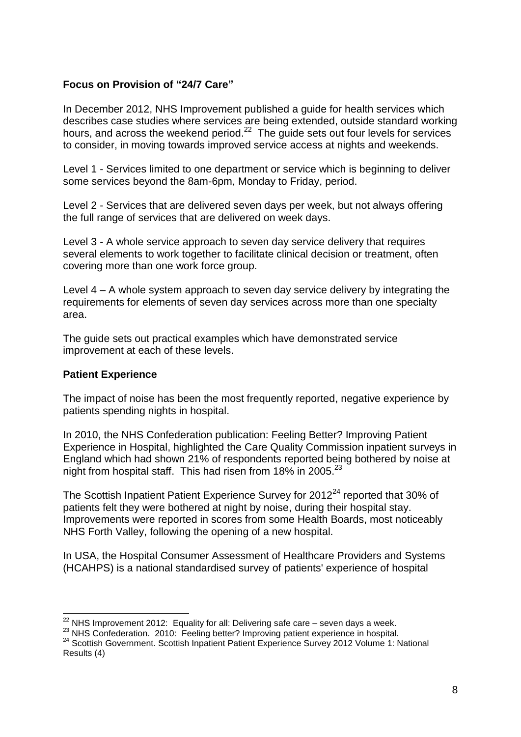# **Focus on Provision of "24/7 Care"**

In December 2012, NHS Improvement published a guide for health services which describes case studies where services are being extended, outside standard working hours, and across the weekend period.<sup>22</sup> The guide sets out four levels for services to consider, in moving towards improved service access at nights and weekends.

Level 1 - Services limited to one department or service which is beginning to deliver some services beyond the 8am-6pm, Monday to Friday, period.

Level 2 - Services that are delivered seven days per week, but not always offering the full range of services that are delivered on week days.

Level 3 - A whole service approach to seven day service delivery that requires several elements to work together to facilitate clinical decision or treatment, often covering more than one work force group.

Level 4 – A whole system approach to seven day service delivery by integrating the requirements for elements of seven day services across more than one specialty area.

The guide sets out practical examples which have demonstrated service improvement at each of these levels.

#### **Patient Experience**

The impact of noise has been the most frequently reported, negative experience by patients spending nights in hospital.

In 2010, the NHS Confederation publication: Feeling Better? Improving Patient Experience in Hospital, highlighted the Care Quality Commission inpatient surveys in England which had shown 21% of respondents reported being bothered by noise at night from hospital staff. This had risen from 18% in 2005.<sup>23</sup>

The Scottish Inpatient Patient Experience Survey for  $2012<sup>24</sup>$  reported that 30% of patients felt they were bothered at night by noise, during their hospital stay. Improvements were reported in scores from some Health Boards, most noticeably NHS Forth Valley, following the opening of a new hospital.

In USA, the Hospital Consumer Assessment of Healthcare Providers and Systems (HCAHPS) is a national standardised survey of patients' experience of hospital

<sup>1</sup>  $22$  NHS Improvement 2012: Equality for all: Delivering safe care – seven days a week.

<sup>&</sup>lt;sup>23</sup> NHS Confederation. 2010: Feeling better? Improving patient experience in hospital.

<sup>24</sup> Scottish Government. Scottish Inpatient Patient Experience Survey 2012 Volume 1: National Results (4)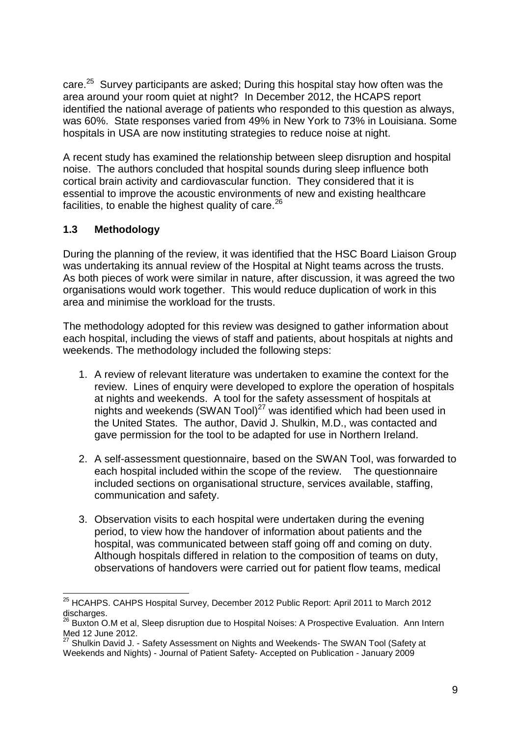care.<sup>25</sup> Survey participants are asked; During this hospital stay how often was the area around your room quiet at night? In December 2012, the HCAPS report identified the national average of patients who responded to this question as always, was 60%. State responses varied from 49% in New York to 73% in Louisiana. Some hospitals in USA are now instituting strategies to reduce noise at night.

A recent study has examined the relationship between sleep disruption and hospital noise. The authors concluded that hospital sounds during sleep influence both cortical brain activity and cardiovascular function. They considered that it is essential to improve the acoustic environments of new and existing healthcare facilities, to enable the highest quality of care. $26$ 

# <span id="page-11-0"></span>**1.3 Methodology**

1

During the planning of the review, it was identified that the HSC Board Liaison Group was undertaking its annual review of the Hospital at Night teams across the trusts. As both pieces of work were similar in nature, after discussion, it was agreed the two organisations would work together. This would reduce duplication of work in this area and minimise the workload for the trusts.

The methodology adopted for this review was designed to gather information about each hospital, including the views of staff and patients, about hospitals at nights and weekends. The methodology included the following steps:

- 1. A review of relevant literature was undertaken to examine the context for the review. Lines of enquiry were developed to explore the operation of hospitals at nights and weekends. A tool for the safety assessment of hospitals at nights and weekends (SWAN Tool)<sup>27</sup> was identified which had been used in the United States. The author, David J. Shulkin, M.D., was contacted and gave permission for the tool to be adapted for use in Northern Ireland.
- 2. A self-assessment questionnaire, based on the SWAN Tool, was forwarded to each hospital included within the scope of the review. The questionnaire included sections on organisational structure, services available, staffing, communication and safety.
- 3. Observation visits to each hospital were undertaken during the evening period, to view how the handover of information about patients and the hospital, was communicated between staff going off and coming on duty. Although hospitals differed in relation to the composition of teams on duty, observations of handovers were carried out for patient flow teams, medical

<sup>&</sup>lt;sup>25</sup> HCAHPS. CAHPS Hospital Survey, December 2012 Public Report: April 2011 to March 2012 discharges.

 $26$  Buxton O.M et al, Sleep disruption due to Hospital Noises: A Prospective Evaluation. Ann Intern Med 12 June 2012.

 $27$  Shulkin David J. - Safety Assessment on Nights and Weekends- The SWAN Tool (Safety at Weekends and Nights) - Journal of Patient Safety- Accepted on Publication - January 2009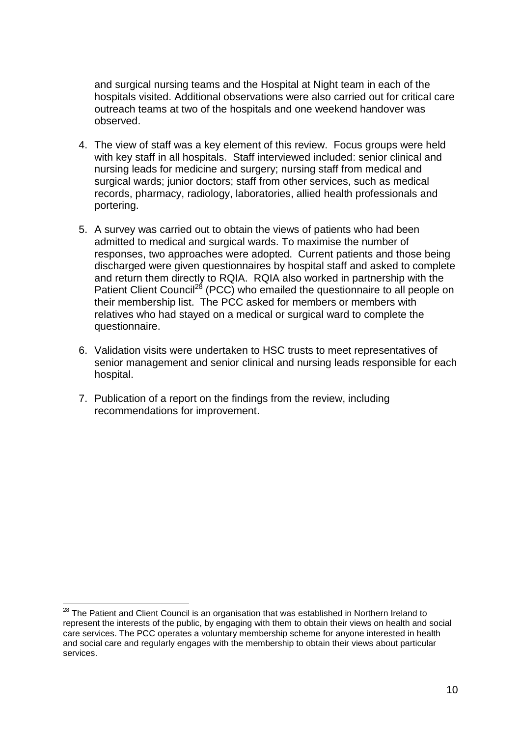and surgical nursing teams and the Hospital at Night team in each of the hospitals visited. Additional observations were also carried out for critical care outreach teams at two of the hospitals and one weekend handover was observed.

- 4. The view of staff was a key element of this review. Focus groups were held with key staff in all hospitals. Staff interviewed included: senior clinical and nursing leads for medicine and surgery; nursing staff from medical and surgical wards; junior doctors; staff from other services, such as medical records, pharmacy, radiology, laboratories, allied health professionals and portering.
- 5. A survey was carried out to obtain the views of patients who had been admitted to medical and surgical wards. To maximise the number of responses, two approaches were adopted. Current patients and those being discharged were given questionnaires by hospital staff and asked to complete and return them directly to RQIA. RQIA also worked in partnership with the Patient Client Council<sup>28</sup> (PCC) who emailed the questionnaire to all people on their membership list. The PCC asked for members or members with relatives who had stayed on a medical or surgical ward to complete the questionnaire.
- 6. Validation visits were undertaken to HSC trusts to meet representatives of senior management and senior clinical and nursing leads responsible for each hospital.
- 7. Publication of a report on the findings from the review, including recommendations for improvement.

1

 $^{28}$  The Patient and Client Council is an organisation that was established in Northern Ireland to represent the interests of the public, by engaging with them to obtain their views on health and social care services. The PCC operates a voluntary membership scheme for anyone interested in health and social care and regularly engages with the membership to obtain their views about particular services.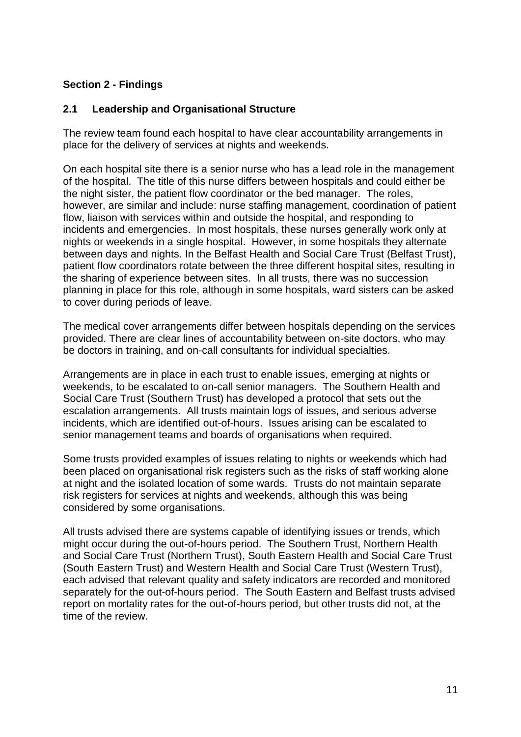# <span id="page-13-0"></span>**Section 2 - Findings**

# <span id="page-13-1"></span>**2.1 Leadership and Organisational Structure**

The review team found each hospital to have clear accountability arrangements in place for the delivery of services at nights and weekends.

On each hospital site there is a senior nurse who has a lead role in the management of the hospital. The title of this nurse differs between hospitals and could either be the night sister, the patient flow coordinator or the bed manager. The roles, however, are similar and include: nurse staffing management, coordination of patient flow, liaison with services within and outside the hospital, and responding to incidents and emergencies. In most hospitals, these nurses generally work only at nights or weekends in a single hospital. However, in some hospitals they alternate between days and nights. In the Belfast Health and Social Care Trust (Belfast Trust), patient flow coordinators rotate between the three different hospital sites, resulting in the sharing of experience between sites. In all trusts, there was no succession planning in place for this role, although in some hospitals, ward sisters can be asked to cover during periods of leave.

The medical cover arrangements differ between hospitals depending on the services provided. There are clear lines of accountability between on-site doctors, who may be doctors in training, and on-call consultants for individual specialties.

Arrangements are in place in each trust to enable issues, emerging at nights or weekends, to be escalated to on-call senior managers. The Southern Health and Social Care Trust (Southern Trust) has developed a protocol that sets out the escalation arrangements. All trusts maintain logs of issues, and serious adverse incidents, which are identified out-of-hours. Issues arising can be escalated to senior management teams and boards of organisations when required.

Some trusts provided examples of issues relating to nights or weekends which had been placed on organisational risk registers such as the risks of staff working alone at night and the isolated location of some wards. Trusts do not maintain separate risk registers for services at nights and weekends, although this was being considered by some organisations.

All trusts advised there are systems capable of identifying issues or trends, which might occur during the out-of-hours period. The Southern Trust, Northern Health and Social Care Trust (Northern Trust), South Eastern Health and Social Care Trust (South Eastern Trust) and Western Health and Social Care Trust (Western Trust), each advised that relevant quality and safety indicators are recorded and monitored separately for the out-of-hours period. The South Eastern and Belfast trusts advised report on mortality rates for the out-of-hours period, but other trusts did not, at the time of the review.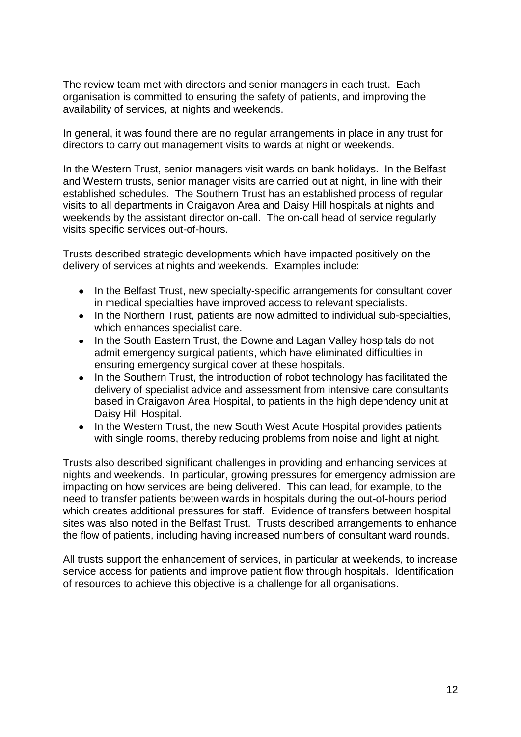The review team met with directors and senior managers in each trust. Each organisation is committed to ensuring the safety of patients, and improving the availability of services, at nights and weekends.

In general, it was found there are no regular arrangements in place in any trust for directors to carry out management visits to wards at night or weekends.

In the Western Trust, senior managers visit wards on bank holidays. In the Belfast and Western trusts, senior manager visits are carried out at night, in line with their established schedules. The Southern Trust has an established process of regular visits to all departments in Craigavon Area and Daisy Hill hospitals at nights and weekends by the assistant director on-call. The on-call head of service regularly visits specific services out-of-hours.

Trusts described strategic developments which have impacted positively on the delivery of services at nights and weekends. Examples include:

- In the Belfast Trust, new specialty-specific arrangements for consultant cover in medical specialties have improved access to relevant specialists.
- In the Northern Trust, patients are now admitted to individual sub-specialties, which enhances specialist care.
- In the South Eastern Trust, the Downe and Lagan Valley hospitals do not admit emergency surgical patients, which have eliminated difficulties in ensuring emergency surgical cover at these hospitals.
- $\bullet$ In the Southern Trust, the introduction of robot technology has facilitated the delivery of specialist advice and assessment from intensive care consultants based in Craigavon Area Hospital, to patients in the high dependency unit at Daisy Hill Hospital.
- In the Western Trust, the new South West Acute Hospital provides patients with single rooms, thereby reducing problems from noise and light at night.

Trusts also described significant challenges in providing and enhancing services at nights and weekends. In particular, growing pressures for emergency admission are impacting on how services are being delivered. This can lead, for example, to the need to transfer patients between wards in hospitals during the out-of-hours period which creates additional pressures for staff. Evidence of transfers between hospital sites was also noted in the Belfast Trust. Trusts described arrangements to enhance the flow of patients, including having increased numbers of consultant ward rounds.

All trusts support the enhancement of services, in particular at weekends, to increase service access for patients and improve patient flow through hospitals. Identification of resources to achieve this objective is a challenge for all organisations.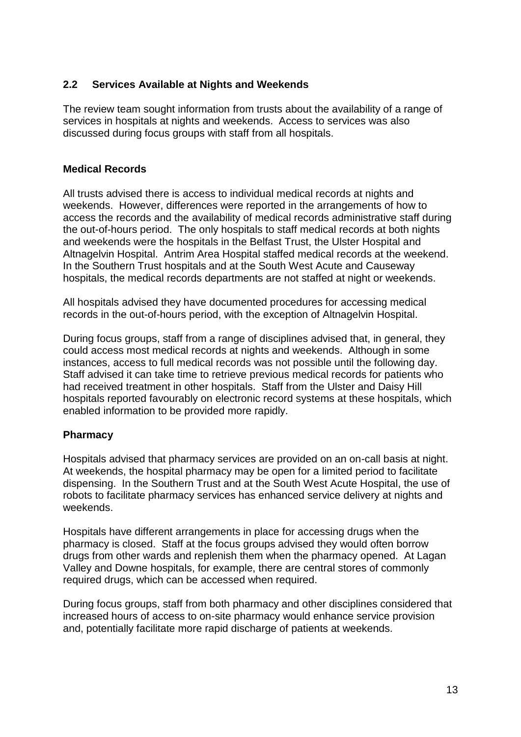# <span id="page-15-0"></span>**2.2 Services Available at Nights and Weekends**

The review team sought information from trusts about the availability of a range of services in hospitals at nights and weekends. Access to services was also discussed during focus groups with staff from all hospitals.

# **Medical Records**

All trusts advised there is access to individual medical records at nights and weekends. However, differences were reported in the arrangements of how to access the records and the availability of medical records administrative staff during the out-of-hours period. The only hospitals to staff medical records at both nights and weekends were the hospitals in the Belfast Trust, the Ulster Hospital and Altnagelvin Hospital. Antrim Area Hospital staffed medical records at the weekend. In the Southern Trust hospitals and at the South West Acute and Causeway hospitals, the medical records departments are not staffed at night or weekends.

All hospitals advised they have documented procedures for accessing medical records in the out-of-hours period, with the exception of Altnagelvin Hospital.

During focus groups, staff from a range of disciplines advised that, in general, they could access most medical records at nights and weekends. Although in some instances, access to full medical records was not possible until the following day. Staff advised it can take time to retrieve previous medical records for patients who had received treatment in other hospitals. Staff from the Ulster and Daisy Hill hospitals reported favourably on electronic record systems at these hospitals, which enabled information to be provided more rapidly.

#### **Pharmacy**

Hospitals advised that pharmacy services are provided on an on-call basis at night. At weekends, the hospital pharmacy may be open for a limited period to facilitate dispensing. In the Southern Trust and at the South West Acute Hospital, the use of robots to facilitate pharmacy services has enhanced service delivery at nights and weekends.

Hospitals have different arrangements in place for accessing drugs when the pharmacy is closed. Staff at the focus groups advised they would often borrow drugs from other wards and replenish them when the pharmacy opened. At Lagan Valley and Downe hospitals, for example, there are central stores of commonly required drugs, which can be accessed when required.

During focus groups, staff from both pharmacy and other disciplines considered that increased hours of access to on-site pharmacy would enhance service provision and, potentially facilitate more rapid discharge of patients at weekends.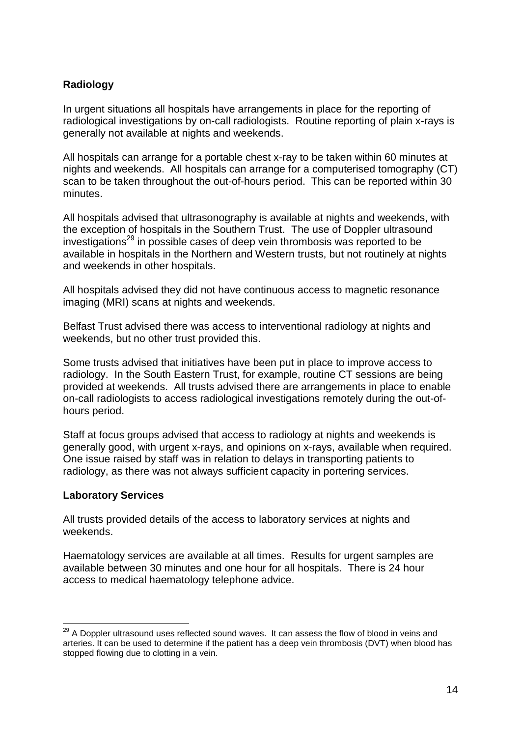# **Radiology**

In urgent situations all hospitals have arrangements in place for the reporting of radiological investigations by on-call radiologists. Routine reporting of plain x-rays is generally not available at nights and weekends.

All hospitals can arrange for a portable chest x-ray to be taken within 60 minutes at nights and weekends. All hospitals can arrange for a computerised tomography (CT) scan to be taken throughout the out-of-hours period. This can be reported within 30 minutes.

All hospitals advised that ultrasonography is available at nights and weekends, with the exception of hospitals in the Southern Trust. The use of Doppler ultrasound  $i$ nvestigations<sup>29</sup> in possible cases of deep vein thrombosis was reported to be available in hospitals in the Northern and Western trusts, but not routinely at nights and weekends in other hospitals.

All hospitals advised they did not have continuous access to magnetic resonance imaging (MRI) scans at nights and weekends.

Belfast Trust advised there was access to interventional radiology at nights and weekends, but no other trust provided this.

Some trusts advised that initiatives have been put in place to improve access to radiology. In the South Eastern Trust, for example, routine CT sessions are being provided at weekends. All trusts advised there are arrangements in place to enable on-call radiologists to access radiological investigations remotely during the out-ofhours period.

Staff at focus groups advised that access to radiology at nights and weekends is generally good, with urgent x-rays, and opinions on x-rays, available when required. One issue raised by staff was in relation to delays in transporting patients to radiology, as there was not always sufficient capacity in portering services.

#### **Laboratory Services**

1

All trusts provided details of the access to laboratory services at nights and weekends.

Haematology services are available at all times. Results for urgent samples are available between 30 minutes and one hour for all hospitals. There is 24 hour access to medical haematology telephone advice.

 $^{29}$  A Doppler ultrasound uses reflected sound waves. It can assess the flow of blood in veins and arteries. It can be used to determine if the patient has a deep vein thrombosis (DVT) when blood has stopped flowing due to clotting in a vein.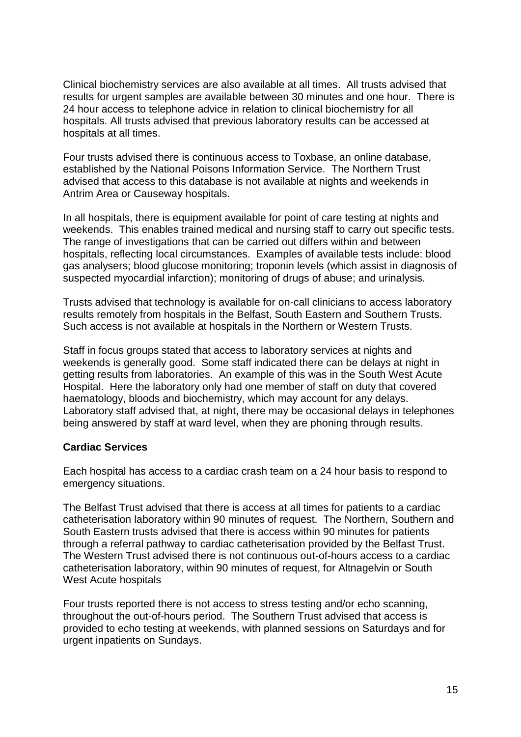Clinical biochemistry services are also available at all times. All trusts advised that results for urgent samples are available between 30 minutes and one hour. There is 24 hour access to telephone advice in relation to clinical biochemistry for all hospitals. All trusts advised that previous laboratory results can be accessed at hospitals at all times.

Four trusts advised there is continuous access to Toxbase, an online database, established by the National Poisons Information Service. The Northern Trust advised that access to this database is not available at nights and weekends in Antrim Area or Causeway hospitals.

In all hospitals, there is equipment available for point of care testing at nights and weekends. This enables trained medical and nursing staff to carry out specific tests. The range of investigations that can be carried out differs within and between hospitals, reflecting local circumstances. Examples of available tests include: blood gas analysers; blood glucose monitoring; troponin levels (which assist in diagnosis of suspected myocardial infarction); monitoring of drugs of abuse; and urinalysis.

Trusts advised that technology is available for on-call clinicians to access laboratory results remotely from hospitals in the Belfast, South Eastern and Southern Trusts. Such access is not available at hospitals in the Northern or Western Trusts.

Staff in focus groups stated that access to laboratory services at nights and weekends is generally good. Some staff indicated there can be delays at night in getting results from laboratories. An example of this was in the South West Acute Hospital. Here the laboratory only had one member of staff on duty that covered haematology, bloods and biochemistry, which may account for any delays. Laboratory staff advised that, at night, there may be occasional delays in telephones being answered by staff at ward level, when they are phoning through results.

#### **Cardiac Services**

Each hospital has access to a cardiac crash team on a 24 hour basis to respond to emergency situations.

The Belfast Trust advised that there is access at all times for patients to a cardiac catheterisation laboratory within 90 minutes of request. The Northern, Southern and South Eastern trusts advised that there is access within 90 minutes for patients through a referral pathway to cardiac catheterisation provided by the Belfast Trust. The Western Trust advised there is not continuous out-of-hours access to a cardiac catheterisation laboratory, within 90 minutes of request, for Altnagelvin or South West Acute hospitals

Four trusts reported there is not access to stress testing and/or echo scanning, throughout the out-of-hours period. The Southern Trust advised that access is provided to echo testing at weekends, with planned sessions on Saturdays and for urgent inpatients on Sundays.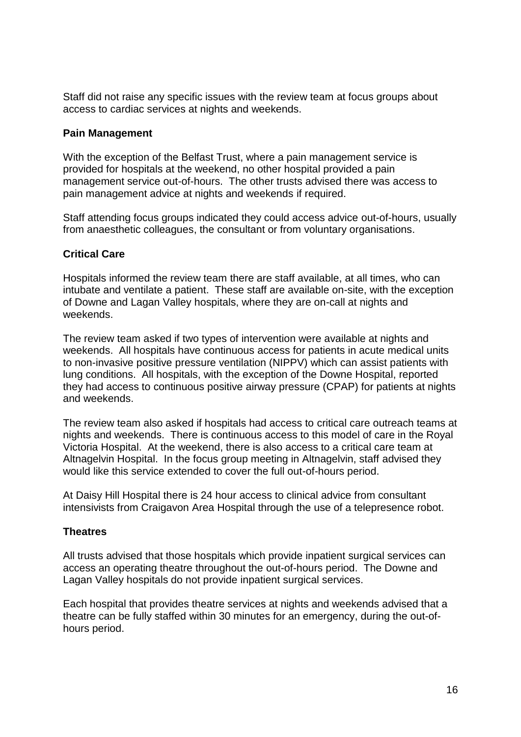Staff did not raise any specific issues with the review team at focus groups about access to cardiac services at nights and weekends.

#### **Pain Management**

With the exception of the Belfast Trust, where a pain management service is provided for hospitals at the weekend, no other hospital provided a pain management service out-of-hours. The other trusts advised there was access to pain management advice at nights and weekends if required.

Staff attending focus groups indicated they could access advice out-of-hours, usually from anaesthetic colleagues, the consultant or from voluntary organisations.

# **Critical Care**

Hospitals informed the review team there are staff available, at all times, who can intubate and ventilate a patient. These staff are available on-site, with the exception of Downe and Lagan Valley hospitals, where they are on-call at nights and weekends.

The review team asked if two types of intervention were available at nights and weekends. All hospitals have continuous access for patients in acute medical units to non-invasive positive pressure ventilation (NIPPV) which can assist patients with lung conditions. All hospitals, with the exception of the Downe Hospital, reported they had access to continuous positive airway pressure (CPAP) for patients at nights and weekends.

The review team also asked if hospitals had access to critical care outreach teams at nights and weekends. There is continuous access to this model of care in the Royal Victoria Hospital. At the weekend, there is also access to a critical care team at Altnagelvin Hospital. In the focus group meeting in Altnagelvin, staff advised they would like this service extended to cover the full out-of-hours period.

At Daisy Hill Hospital there is 24 hour access to clinical advice from consultant intensivists from Craigavon Area Hospital through the use of a telepresence robot.

#### **Theatres**

All trusts advised that those hospitals which provide inpatient surgical services can access an operating theatre throughout the out-of-hours period. The Downe and Lagan Valley hospitals do not provide inpatient surgical services.

Each hospital that provides theatre services at nights and weekends advised that a theatre can be fully staffed within 30 minutes for an emergency, during the out-ofhours period.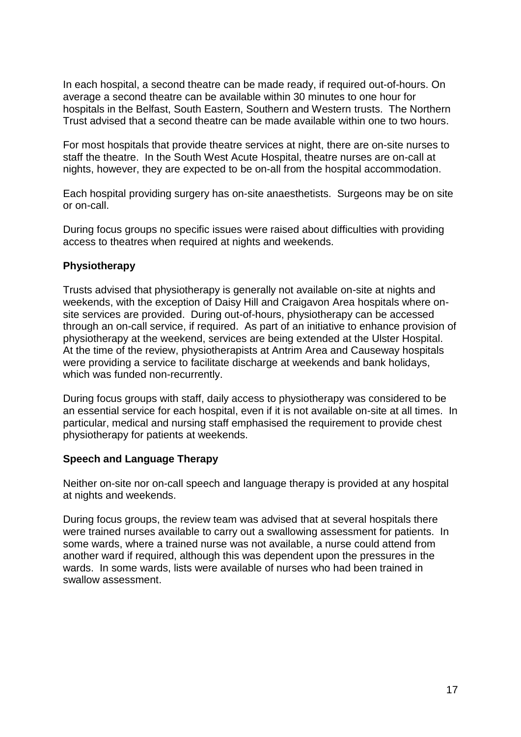In each hospital, a second theatre can be made ready, if required out-of-hours. On average a second theatre can be available within 30 minutes to one hour for hospitals in the Belfast, South Eastern, Southern and Western trusts. The Northern Trust advised that a second theatre can be made available within one to two hours.

For most hospitals that provide theatre services at night, there are on-site nurses to staff the theatre. In the South West Acute Hospital, theatre nurses are on-call at nights, however, they are expected to be on-all from the hospital accommodation.

Each hospital providing surgery has on-site anaesthetists. Surgeons may be on site or on-call.

During focus groups no specific issues were raised about difficulties with providing access to theatres when required at nights and weekends.

#### **Physiotherapy**

Trusts advised that physiotherapy is generally not available on-site at nights and weekends, with the exception of Daisy Hill and Craigavon Area hospitals where onsite services are provided. During out-of-hours, physiotherapy can be accessed through an on-call service, if required. As part of an initiative to enhance provision of physiotherapy at the weekend, services are being extended at the Ulster Hospital. At the time of the review, physiotherapists at Antrim Area and Causeway hospitals were providing a service to facilitate discharge at weekends and bank holidays, which was funded non-recurrently.

During focus groups with staff, daily access to physiotherapy was considered to be an essential service for each hospital, even if it is not available on-site at all times. In particular, medical and nursing staff emphasised the requirement to provide chest physiotherapy for patients at weekends.

# **Speech and Language Therapy**

Neither on-site nor on-call speech and language therapy is provided at any hospital at nights and weekends.

During focus groups, the review team was advised that at several hospitals there were trained nurses available to carry out a swallowing assessment for patients. In some wards, where a trained nurse was not available, a nurse could attend from another ward if required, although this was dependent upon the pressures in the wards. In some wards, lists were available of nurses who had been trained in swallow assessment.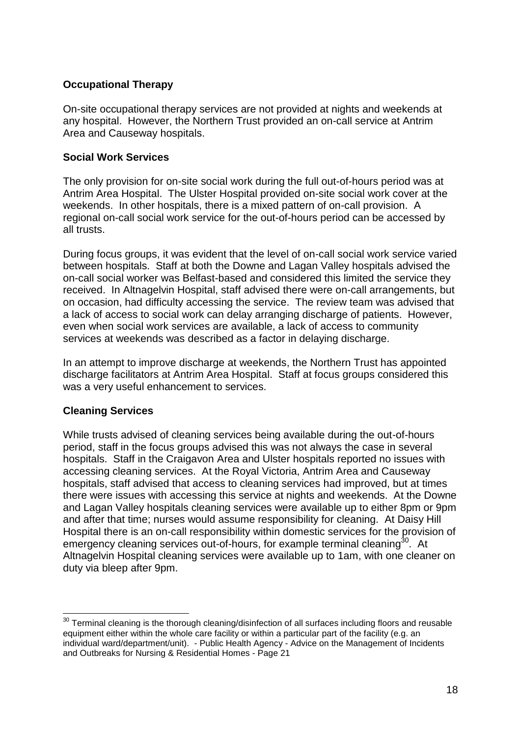# **Occupational Therapy**

On-site occupational therapy services are not provided at nights and weekends at any hospital. However, the Northern Trust provided an on-call service at Antrim Area and Causeway hospitals.

# **Social Work Services**

The only provision for on-site social work during the full out-of-hours period was at Antrim Area Hospital. The Ulster Hospital provided on-site social work cover at the weekends. In other hospitals, there is a mixed pattern of on-call provision. A regional on-call social work service for the out-of-hours period can be accessed by all trusts.

During focus groups, it was evident that the level of on-call social work service varied between hospitals. Staff at both the Downe and Lagan Valley hospitals advised the on-call social worker was Belfast-based and considered this limited the service they received. In Altnagelvin Hospital, staff advised there were on-call arrangements, but on occasion, had difficulty accessing the service. The review team was advised that a lack of access to social work can delay arranging discharge of patients. However, even when social work services are available, a lack of access to community services at weekends was described as a factor in delaying discharge.

In an attempt to improve discharge at weekends, the Northern Trust has appointed discharge facilitators at Antrim Area Hospital. Staff at focus groups considered this was a very useful enhancement to services.

# **Cleaning Services**

1

While trusts advised of cleaning services being available during the out-of-hours period, staff in the focus groups advised this was not always the case in several hospitals. Staff in the Craigavon Area and Ulster hospitals reported no issues with accessing cleaning services. At the Royal Victoria, Antrim Area and Causeway hospitals, staff advised that access to cleaning services had improved, but at times there were issues with accessing this service at nights and weekends. At the Downe and Lagan Valley hospitals cleaning services were available up to either 8pm or 9pm and after that time; nurses would assume responsibility for cleaning. At Daisy Hill Hospital there is an on-call responsibility within domestic services for the provision of emergency cleaning services out-of-hours, for example terminal cleaning<sup>30</sup>. At Altnagelvin Hospital cleaning services were available up to 1am, with one cleaner on duty via bleep after 9pm.

 $30$  Terminal cleaning is the thorough cleaning/disinfection of all surfaces including floors and reusable equipment either within the whole care facility or within a particular part of the facility (e.g. an individual ward/department/unit). - Public Health Agency - Advice on the Management of Incidents and Outbreaks for Nursing & Residential Homes - Page 21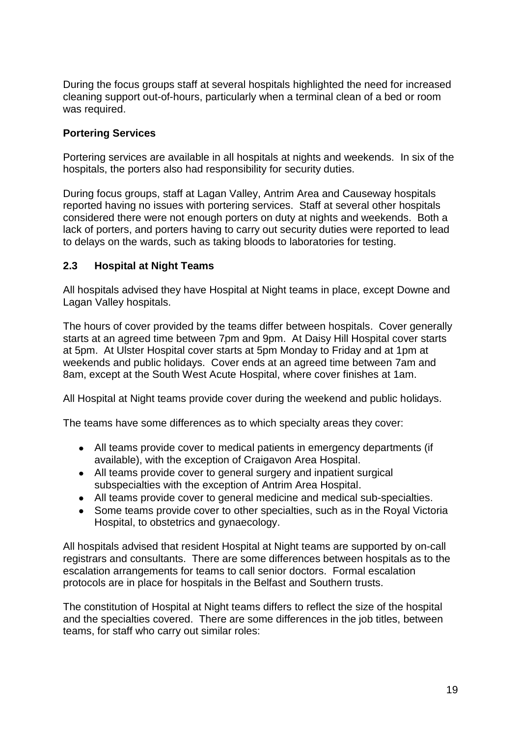During the focus groups staff at several hospitals highlighted the need for increased cleaning support out-of-hours, particularly when a terminal clean of a bed or room was required.

# **Portering Services**

Portering services are available in all hospitals at nights and weekends. In six of the hospitals, the porters also had responsibility for security duties.

During focus groups, staff at Lagan Valley, Antrim Area and Causeway hospitals reported having no issues with portering services. Staff at several other hospitals considered there were not enough porters on duty at nights and weekends. Both a lack of porters, and porters having to carry out security duties were reported to lead to delays on the wards, such as taking bloods to laboratories for testing.

#### <span id="page-21-0"></span>**2.3 Hospital at Night Teams**

All hospitals advised they have Hospital at Night teams in place, except Downe and Lagan Valley hospitals.

The hours of cover provided by the teams differ between hospitals. Cover generally starts at an agreed time between 7pm and 9pm. At Daisy Hill Hospital cover starts at 5pm. At Ulster Hospital cover starts at 5pm Monday to Friday and at 1pm at weekends and public holidays. Cover ends at an agreed time between 7am and 8am, except at the South West Acute Hospital, where cover finishes at 1am.

All Hospital at Night teams provide cover during the weekend and public holidays.

The teams have some differences as to which specialty areas they cover:

- All teams provide cover to medical patients in emergency departments (if available), with the exception of Craigavon Area Hospital.
- All teams provide cover to general surgery and inpatient surgical subspecialties with the exception of Antrim Area Hospital.
- All teams provide cover to general medicine and medical sub-specialties.
- Some teams provide cover to other specialties, such as in the Royal Victoria Hospital, to obstetrics and gynaecology.

All hospitals advised that resident Hospital at Night teams are supported by on-call registrars and consultants. There are some differences between hospitals as to the escalation arrangements for teams to call senior doctors. Formal escalation protocols are in place for hospitals in the Belfast and Southern trusts.

The constitution of Hospital at Night teams differs to reflect the size of the hospital and the specialties covered. There are some differences in the job titles, between teams, for staff who carry out similar roles: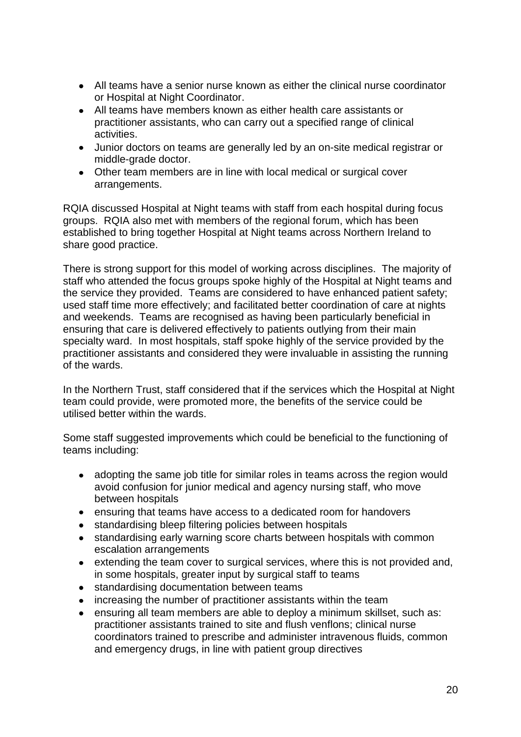- All teams have a senior nurse known as either the clinical nurse coordinator or Hospital at Night Coordinator.
- All teams have members known as either health care assistants or practitioner assistants, who can carry out a specified range of clinical activities.
- Junior doctors on teams are generally led by an on-site medical registrar or middle-grade doctor.
- Other team members are in line with local medical or surgical cover arrangements.

RQIA discussed Hospital at Night teams with staff from each hospital during focus groups. RQIA also met with members of the regional forum, which has been established to bring together Hospital at Night teams across Northern Ireland to share good practice.

There is strong support for this model of working across disciplines. The majority of staff who attended the focus groups spoke highly of the Hospital at Night teams and the service they provided. Teams are considered to have enhanced patient safety; used staff time more effectively; and facilitated better coordination of care at nights and weekends. Teams are recognised as having been particularly beneficial in ensuring that care is delivered effectively to patients outlying from their main specialty ward. In most hospitals, staff spoke highly of the service provided by the practitioner assistants and considered they were invaluable in assisting the running of the wards.

In the Northern Trust, staff considered that if the services which the Hospital at Night team could provide, were promoted more, the benefits of the service could be utilised better within the wards.

Some staff suggested improvements which could be beneficial to the functioning of teams including:

- adopting the same job title for similar roles in teams across the region would  $\bullet$ avoid confusion for junior medical and agency nursing staff, who move between hospitals
- ensuring that teams have access to a dedicated room for handovers
- standardising bleep filtering policies between hospitals  $\bullet$
- standardising early warning score charts between hospitals with common  $\bullet$ escalation arrangements
- extending the team cover to surgical services, where this is not provided and,  $\bullet$ in some hospitals, greater input by surgical staff to teams
- standardising documentation between teams
- increasing the number of practitioner assistants within the team  $\bullet$
- ensuring all team members are able to deploy a minimum skillset, such as:  $\bullet$ practitioner assistants trained to site and flush venflons; clinical nurse coordinators trained to prescribe and administer intravenous fluids, common and emergency drugs, in line with patient group directives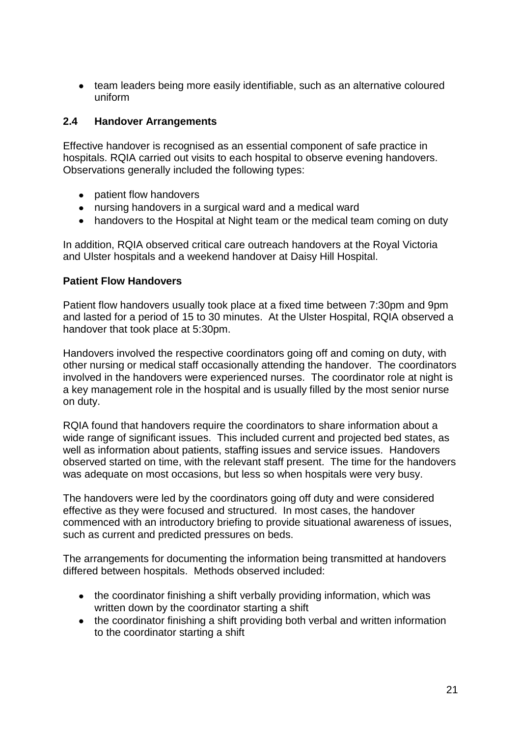$\bullet$ team leaders being more easily identifiable, such as an alternative coloured uniform

# <span id="page-23-0"></span>**2.4 Handover Arrangements**

Effective handover is recognised as an essential component of safe practice in hospitals. RQIA carried out visits to each hospital to observe evening handovers. Observations generally included the following types:

- patient flow handovers
- nursing handovers in a surgical ward and a medical ward
- handovers to the Hospital at Night team or the medical team coming on duty

In addition, RQIA observed critical care outreach handovers at the Royal Victoria and Ulster hospitals and a weekend handover at Daisy Hill Hospital.

# **Patient Flow Handovers**

Patient flow handovers usually took place at a fixed time between 7:30pm and 9pm and lasted for a period of 15 to 30 minutes. At the Ulster Hospital, RQIA observed a handover that took place at 5:30pm.

Handovers involved the respective coordinators going off and coming on duty, with other nursing or medical staff occasionally attending the handover. The coordinators involved in the handovers were experienced nurses. The coordinator role at night is a key management role in the hospital and is usually filled by the most senior nurse on duty.

RQIA found that handovers require the coordinators to share information about a wide range of significant issues. This included current and projected bed states, as well as information about patients, staffing issues and service issues. Handovers observed started on time, with the relevant staff present. The time for the handovers was adequate on most occasions, but less so when hospitals were very busy.

The handovers were led by the coordinators going off duty and were considered effective as they were focused and structured. In most cases, the handover commenced with an introductory briefing to provide situational awareness of issues, such as current and predicted pressures on beds.

The arrangements for documenting the information being transmitted at handovers differed between hospitals. Methods observed included:

- the coordinator finishing a shift verbally providing information, which was written down by the coordinator starting a shift
- the coordinator finishing a shift providing both verbal and written information to the coordinator starting a shift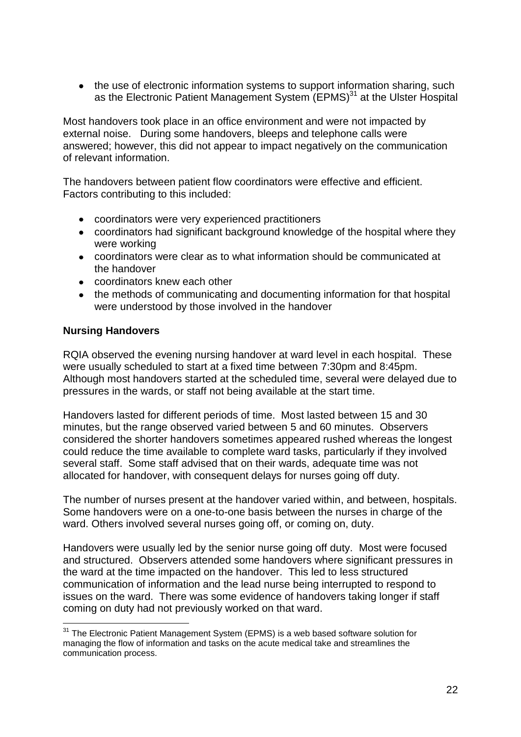• the use of electronic information systems to support information sharing, such as the Electronic Patient Management System (EPMS)<sup>31</sup> at the Ulster Hospital

Most handovers took place in an office environment and were not impacted by external noise. During some handovers, bleeps and telephone calls were answered; however, this did not appear to impact negatively on the communication of relevant information.

The handovers between patient flow coordinators were effective and efficient. Factors contributing to this included:

- coordinators were very experienced practitioners
- coordinators had significant background knowledge of the hospital where they were working
- coordinators were clear as to what information should be communicated at the handover
- coordinators knew each other
- the methods of communicating and documenting information for that hospital were understood by those involved in the handover

#### **Nursing Handovers**

RQIA observed the evening nursing handover at ward level in each hospital. These were usually scheduled to start at a fixed time between 7:30pm and 8:45pm. Although most handovers started at the scheduled time, several were delayed due to pressures in the wards, or staff not being available at the start time.

Handovers lasted for different periods of time. Most lasted between 15 and 30 minutes, but the range observed varied between 5 and 60 minutes. Observers considered the shorter handovers sometimes appeared rushed whereas the longest could reduce the time available to complete ward tasks, particularly if they involved several staff. Some staff advised that on their wards, adequate time was not allocated for handover, with consequent delays for nurses going off duty.

The number of nurses present at the handover varied within, and between, hospitals. Some handovers were on a one-to-one basis between the nurses in charge of the ward. Others involved several nurses going off, or coming on, duty.

Handovers were usually led by the senior nurse going off duty. Most were focused and structured. Observers attended some handovers where significant pressures in the ward at the time impacted on the handover. This led to less structured communication of information and the lead nurse being interrupted to respond to issues on the ward. There was some evidence of handovers taking longer if staff coming on duty had not previously worked on that ward.

<sup>1</sup> <sup>31</sup> The Electronic Patient Management System (EPMS) is a web based software solution for managing the flow of information and tasks on the acute medical take and streamlines the communication process.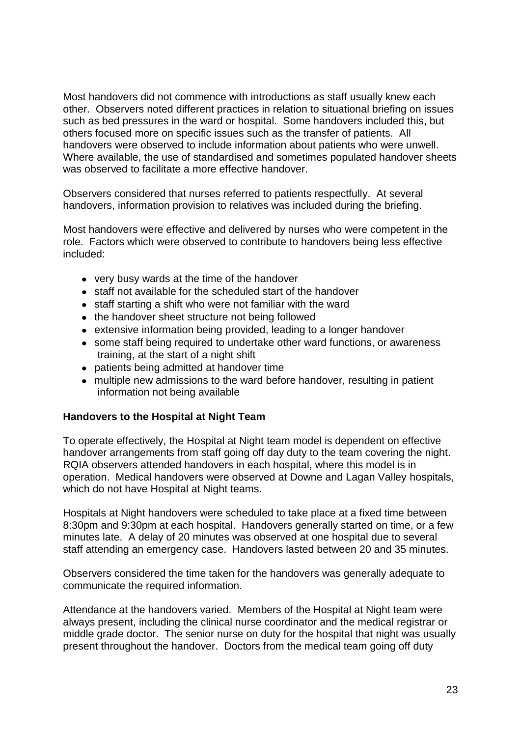Most handovers did not commence with introductions as staff usually knew each other. Observers noted different practices in relation to situational briefing on issues such as bed pressures in the ward or hospital. Some handovers included this, but others focused more on specific issues such as the transfer of patients. All handovers were observed to include information about patients who were unwell. Where available, the use of standardised and sometimes populated handover sheets was observed to facilitate a more effective handover.

Observers considered that nurses referred to patients respectfully. At several handovers, information provision to relatives was included during the briefing.

Most handovers were effective and delivered by nurses who were competent in the role. Factors which were observed to contribute to handovers being less effective included:

- very busy wards at the time of the handover
- staff not available for the scheduled start of the handover
- staff starting a shift who were not familiar with the ward
- the handover sheet structure not being followed
- extensive information being provided, leading to a longer handover
- some staff being required to undertake other ward functions, or awareness training, at the start of a night shift
- patients being admitted at handover time
- multiple new admissions to the ward before handover, resulting in patient information not being available

#### **Handovers to the Hospital at Night Team**

To operate effectively, the Hospital at Night team model is dependent on effective handover arrangements from staff going off day duty to the team covering the night. RQIA observers attended handovers in each hospital, where this model is in operation. Medical handovers were observed at Downe and Lagan Valley hospitals, which do not have Hospital at Night teams.

Hospitals at Night handovers were scheduled to take place at a fixed time between 8:30pm and 9:30pm at each hospital. Handovers generally started on time, or a few minutes late. A delay of 20 minutes was observed at one hospital due to several staff attending an emergency case. Handovers lasted between 20 and 35 minutes.

Observers considered the time taken for the handovers was generally adequate to communicate the required information.

Attendance at the handovers varied. Members of the Hospital at Night team were always present, including the clinical nurse coordinator and the medical registrar or middle grade doctor. The senior nurse on duty for the hospital that night was usually present throughout the handover. Doctors from the medical team going off duty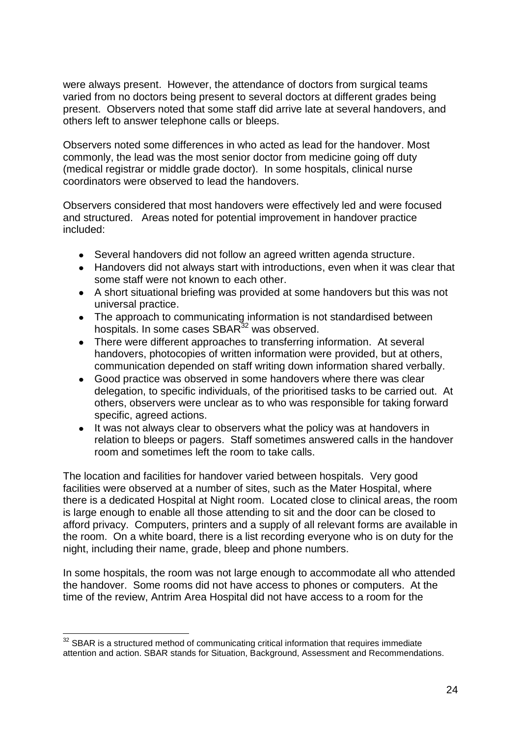were always present. However, the attendance of doctors from surgical teams varied from no doctors being present to several doctors at different grades being present. Observers noted that some staff did arrive late at several handovers, and others left to answer telephone calls or bleeps.

Observers noted some differences in who acted as lead for the handover. Most commonly, the lead was the most senior doctor from medicine going off duty (medical registrar or middle grade doctor). In some hospitals, clinical nurse coordinators were observed to lead the handovers.

Observers considered that most handovers were effectively led and were focused and structured. Areas noted for potential improvement in handover practice included:

- Several handovers did not follow an agreed written agenda structure.
- Handovers did not always start with introductions, even when it was clear that some staff were not known to each other.
- A short situational briefing was provided at some handovers but this was not universal practice.
- The approach to communicating information is not standardised between  $\bullet$ hospitals. In some cases SBAR<sup>32</sup> was observed.
- There were different approaches to transferring information. At several handovers, photocopies of written information were provided, but at others, communication depended on staff writing down information shared verbally.
- $\bullet$ Good practice was observed in some handovers where there was clear delegation, to specific individuals, of the prioritised tasks to be carried out. At others, observers were unclear as to who was responsible for taking forward specific, agreed actions.
- $\bullet$ It was not always clear to observers what the policy was at handovers in relation to bleeps or pagers. Staff sometimes answered calls in the handover room and sometimes left the room to take calls.

The location and facilities for handover varied between hospitals. Very good facilities were observed at a number of sites, such as the Mater Hospital, where there is a dedicated Hospital at Night room. Located close to clinical areas, the room is large enough to enable all those attending to sit and the door can be closed to afford privacy. Computers, printers and a supply of all relevant forms are available in the room. On a white board, there is a list recording everyone who is on duty for the night, including their name, grade, bleep and phone numbers.

In some hospitals, the room was not large enough to accommodate all who attended the handover. Some rooms did not have access to phones or computers. At the time of the review, Antrim Area Hospital did not have access to a room for the

<sup>1</sup>  $32$  SBAR is a structured method of communicating critical information that requires immediate attention and action. SBAR stands for Situation, Background, Assessment and Recommendations.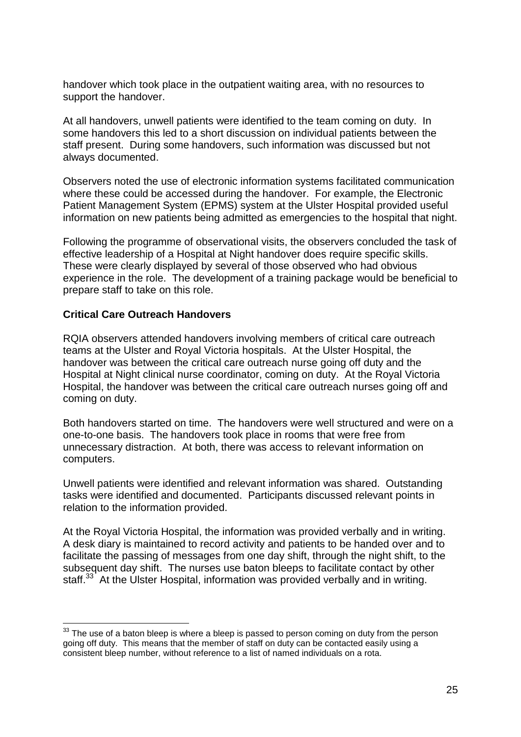handover which took place in the outpatient waiting area, with no resources to support the handover.

At all handovers, unwell patients were identified to the team coming on duty. In some handovers this led to a short discussion on individual patients between the staff present. During some handovers, such information was discussed but not always documented.

Observers noted the use of electronic information systems facilitated communication where these could be accessed during the handover. For example, the Electronic Patient Management System (EPMS) system at the Ulster Hospital provided useful information on new patients being admitted as emergencies to the hospital that night.

Following the programme of observational visits, the observers concluded the task of effective leadership of a Hospital at Night handover does require specific skills. These were clearly displayed by several of those observed who had obvious experience in the role. The development of a training package would be beneficial to prepare staff to take on this role.

#### **Critical Care Outreach Handovers**

1

RQIA observers attended handovers involving members of critical care outreach teams at the Ulster and Royal Victoria hospitals. At the Ulster Hospital, the handover was between the critical care outreach nurse going off duty and the Hospital at Night clinical nurse coordinator, coming on duty. At the Royal Victoria Hospital, the handover was between the critical care outreach nurses going off and coming on duty.

Both handovers started on time. The handovers were well structured and were on a one-to-one basis. The handovers took place in rooms that were free from unnecessary distraction. At both, there was access to relevant information on computers.

Unwell patients were identified and relevant information was shared. Outstanding tasks were identified and documented. Participants discussed relevant points in relation to the information provided.

At the Royal Victoria Hospital, the information was provided verbally and in writing. A desk diary is maintained to record activity and patients to be handed over and to facilitate the passing of messages from one day shift, through the night shift, to the subsequent day shift. The nurses use baton bleeps to facilitate contact by other staff.<sup>33</sup> At the Ulster Hospital, information was provided verbally and in writing.

 $33$  The use of a baton bleep is where a bleep is passed to person coming on duty from the person going off duty. This means that the member of staff on duty can be contacted easily using a consistent bleep number, without reference to a list of named individuals on a rota.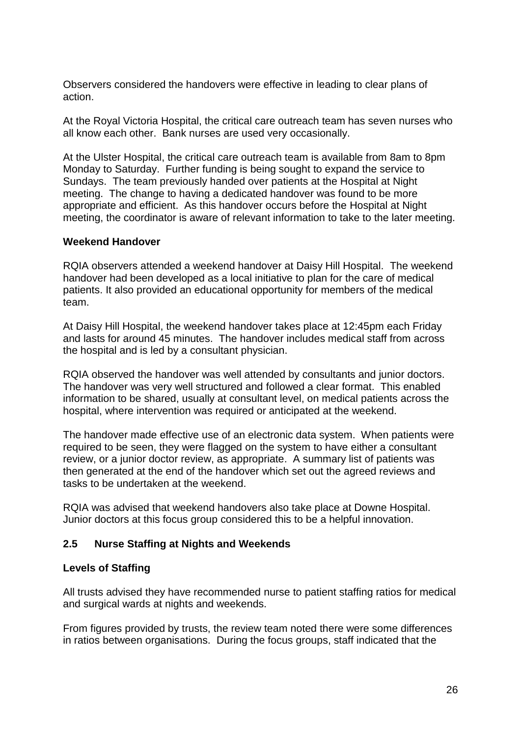Observers considered the handovers were effective in leading to clear plans of action.

At the Royal Victoria Hospital, the critical care outreach team has seven nurses who all know each other. Bank nurses are used very occasionally.

At the Ulster Hospital, the critical care outreach team is available from 8am to 8pm Monday to Saturday. Further funding is being sought to expand the service to Sundays. The team previously handed over patients at the Hospital at Night meeting. The change to having a dedicated handover was found to be more appropriate and efficient. As this handover occurs before the Hospital at Night meeting, the coordinator is aware of relevant information to take to the later meeting.

#### **Weekend Handover**

RQIA observers attended a weekend handover at Daisy Hill Hospital. The weekend handover had been developed as a local initiative to plan for the care of medical patients. It also provided an educational opportunity for members of the medical team.

At Daisy Hill Hospital, the weekend handover takes place at 12:45pm each Friday and lasts for around 45 minutes. The handover includes medical staff from across the hospital and is led by a consultant physician.

RQIA observed the handover was well attended by consultants and junior doctors. The handover was very well structured and followed a clear format. This enabled information to be shared, usually at consultant level, on medical patients across the hospital, where intervention was required or anticipated at the weekend.

The handover made effective use of an electronic data system. When patients were required to be seen, they were flagged on the system to have either a consultant review, or a junior doctor review, as appropriate. A summary list of patients was then generated at the end of the handover which set out the agreed reviews and tasks to be undertaken at the weekend.

RQIA was advised that weekend handovers also take place at Downe Hospital. Junior doctors at this focus group considered this to be a helpful innovation.

#### <span id="page-28-0"></span>**2.5 Nurse Staffing at Nights and Weekends**

#### **Levels of Staffing**

All trusts advised they have recommended nurse to patient staffing ratios for medical and surgical wards at nights and weekends.

From figures provided by trusts, the review team noted there were some differences in ratios between organisations. During the focus groups, staff indicated that the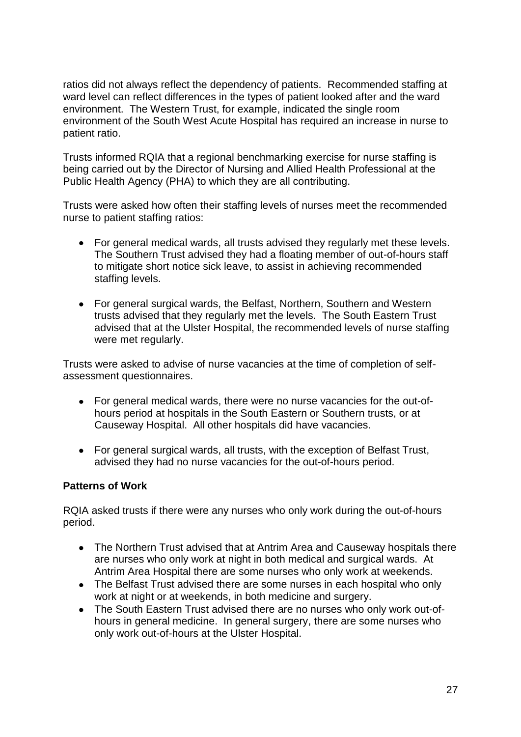ratios did not always reflect the dependency of patients. Recommended staffing at ward level can reflect differences in the types of patient looked after and the ward environment. The Western Trust, for example, indicated the single room environment of the South West Acute Hospital has required an increase in nurse to patient ratio.

Trusts informed RQIA that a regional benchmarking exercise for nurse staffing is being carried out by the Director of Nursing and Allied Health Professional at the Public Health Agency (PHA) to which they are all contributing.

Trusts were asked how often their staffing levels of nurses meet the recommended nurse to patient staffing ratios:

- For general medical wards, all trusts advised they regularly met these levels. The Southern Trust advised they had a floating member of out-of-hours staff to mitigate short notice sick leave, to assist in achieving recommended staffing levels.
- For general surgical wards, the Belfast, Northern, Southern and Western trusts advised that they regularly met the levels. The South Eastern Trust advised that at the Ulster Hospital, the recommended levels of nurse staffing were met regularly.

Trusts were asked to advise of nurse vacancies at the time of completion of selfassessment questionnaires.

- $\bullet$ For general medical wards, there were no nurse vacancies for the out-ofhours period at hospitals in the South Eastern or Southern trusts, or at Causeway Hospital. All other hospitals did have vacancies.
- For general surgical wards, all trusts, with the exception of Belfast Trust,  $\bullet$ advised they had no nurse vacancies for the out-of-hours period.

#### **Patterns of Work**

RQIA asked trusts if there were any nurses who only work during the out-of-hours period.

- The Northern Trust advised that at Antrim Area and Causeway hospitals there are nurses who only work at night in both medical and surgical wards. At Antrim Area Hospital there are some nurses who only work at weekends.
- The Belfast Trust advised there are some nurses in each hospital who only work at night or at weekends, in both medicine and surgery.
- The South Eastern Trust advised there are no nurses who only work out-ofhours in general medicine. In general surgery, there are some nurses who only work out-of-hours at the Ulster Hospital.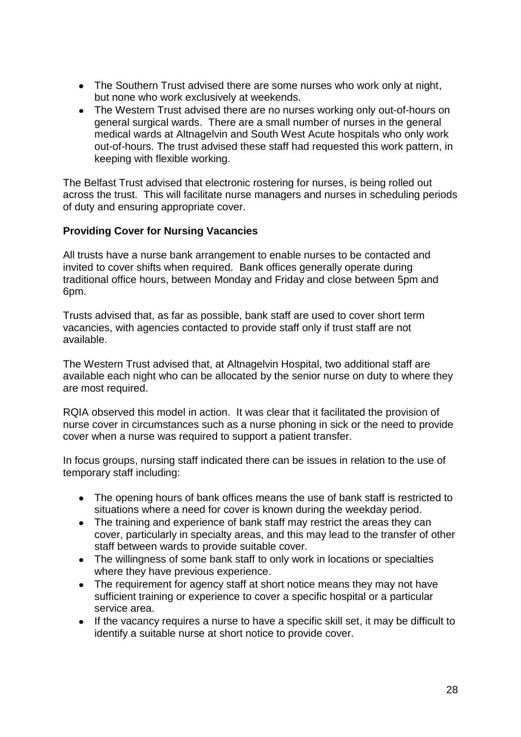- The Southern Trust advised there are some nurses who work only at night, but none who work exclusively at weekends.
- The Western Trust advised there are no nurses working only out-of-hours on general surgical wards. There are a small number of nurses in the general medical wards at Altnagelvin and South West Acute hospitals who only work out-of-hours. The trust advised these staff had requested this work pattern, in keeping with flexible working.

The Belfast Trust advised that electronic rostering for nurses, is being rolled out across the trust. This will facilitate nurse managers and nurses in scheduling periods of duty and ensuring appropriate cover.

# **Providing Cover for Nursing Vacancies**

All trusts have a nurse bank arrangement to enable nurses to be contacted and invited to cover shifts when required. Bank offices generally operate during traditional office hours, between Monday and Friday and close between 5pm and 6pm.

Trusts advised that, as far as possible, bank staff are used to cover short term vacancies, with agencies contacted to provide staff only if trust staff are not available.

The Western Trust advised that, at Altnagelvin Hospital, two additional staff are available each night who can be allocated by the senior nurse on duty to where they are most required.

RQIA observed this model in action. It was clear that it facilitated the provision of nurse cover in circumstances such as a nurse phoning in sick or the need to provide cover when a nurse was required to support a patient transfer.

In focus groups, nursing staff indicated there can be issues in relation to the use of temporary staff including:

- The opening hours of bank offices means the use of bank staff is restricted to situations where a need for cover is known during the weekday period.
- The training and experience of bank staff may restrict the areas they can cover, particularly in specialty areas, and this may lead to the transfer of other staff between wards to provide suitable cover.
- The willingness of some bank staff to only work in locations or specialties where they have previous experience.
- The requirement for agency staff at short notice means they may not have sufficient training or experience to cover a specific hospital or a particular service area.
- If the vacancy requires a nurse to have a specific skill set, it may be difficult to  $\bullet$ identify a suitable nurse at short notice to provide cover.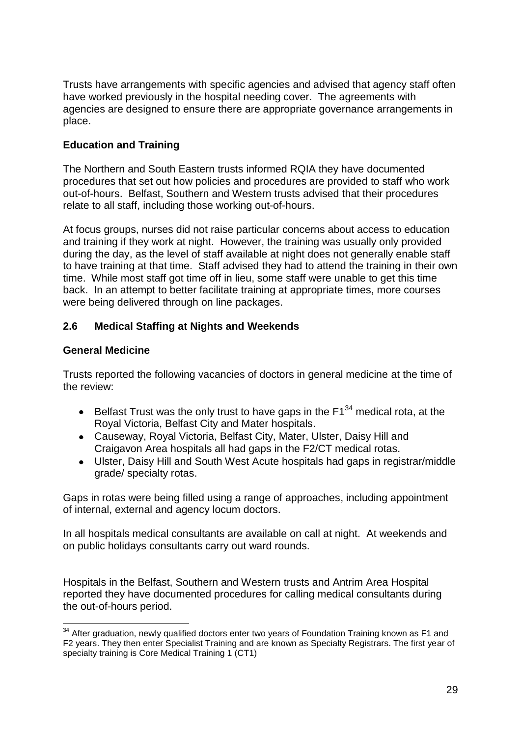Trusts have arrangements with specific agencies and advised that agency staff often have worked previously in the hospital needing cover. The agreements with agencies are designed to ensure there are appropriate governance arrangements in place.

# **Education and Training**

The Northern and South Eastern trusts informed RQIA they have documented procedures that set out how policies and procedures are provided to staff who work out-of-hours. Belfast, Southern and Western trusts advised that their procedures relate to all staff, including those working out-of-hours.

At focus groups, nurses did not raise particular concerns about access to education and training if they work at night. However, the training was usually only provided during the day, as the level of staff available at night does not generally enable staff to have training at that time. Staff advised they had to attend the training in their own time. While most staff got time off in lieu, some staff were unable to get this time back. In an attempt to better facilitate training at appropriate times, more courses were being delivered through on line packages.

# <span id="page-31-0"></span>**2.6 Medical Staffing at Nights and Weekends**

# **General Medicine**

1

Trusts reported the following vacancies of doctors in general medicine at the time of the review:

- Belfast Trust was the only trust to have gaps in the  $F1^{34}$  medical rota, at the  $\bullet$ Royal Victoria, Belfast City and Mater hospitals.
- Causeway, Royal Victoria, Belfast City, Mater, Ulster, Daisy Hill and Craigavon Area hospitals all had gaps in the F2/CT medical rotas.
- Ulster, Daisy Hill and South West Acute hospitals had gaps in registrar/middle grade/ specialty rotas.

Gaps in rotas were being filled using a range of approaches, including appointment of internal, external and agency locum doctors.

In all hospitals medical consultants are available on call at night. At weekends and on public holidays consultants carry out ward rounds.

Hospitals in the Belfast, Southern and Western trusts and Antrim Area Hospital reported they have documented procedures for calling medical consultants during the out-of-hours period.

 $34$  After graduation, newly qualified doctors enter two years of Foundation Training known as F1 and F2 years. They then enter Specialist Training and are known as Specialty Registrars. The first year of specialty training is Core Medical Training 1 (CT1)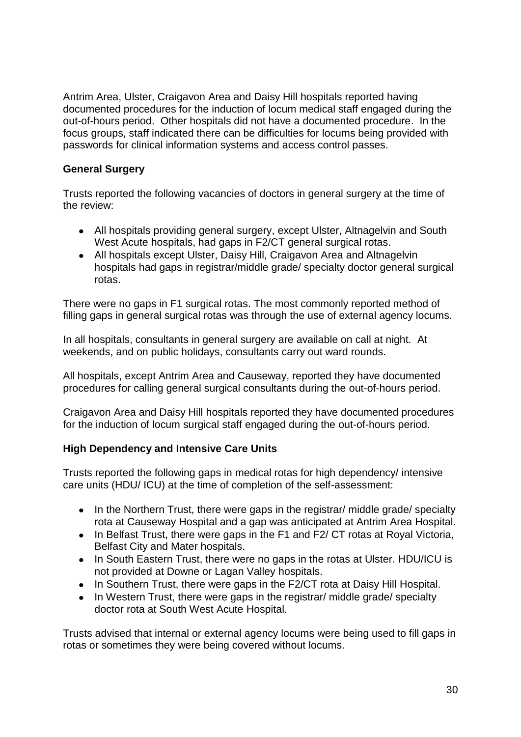Antrim Area, Ulster, Craigavon Area and Daisy Hill hospitals reported having documented procedures for the induction of locum medical staff engaged during the out-of-hours period. Other hospitals did not have a documented procedure. In the focus groups, staff indicated there can be difficulties for locums being provided with passwords for clinical information systems and access control passes.

# **General Surgery**

Trusts reported the following vacancies of doctors in general surgery at the time of the review:

- All hospitals providing general surgery, except Ulster, Altnagelvin and South West Acute hospitals, had gaps in F2/CT general surgical rotas.
- All hospitals except Ulster, Daisy Hill, Craigavon Area and Altnagelvin  $\bullet$ hospitals had gaps in registrar/middle grade/ specialty doctor general surgical rotas.

There were no gaps in F1 surgical rotas. The most commonly reported method of filling gaps in general surgical rotas was through the use of external agency locums.

In all hospitals, consultants in general surgery are available on call at night. At weekends, and on public holidays, consultants carry out ward rounds.

All hospitals, except Antrim Area and Causeway, reported they have documented procedures for calling general surgical consultants during the out-of-hours period.

Craigavon Area and Daisy Hill hospitals reported they have documented procedures for the induction of locum surgical staff engaged during the out-of-hours period.

# **High Dependency and Intensive Care Units**

Trusts reported the following gaps in medical rotas for high dependency/ intensive care units (HDU/ ICU) at the time of completion of the self-assessment:

- In the Northern Trust, there were gaps in the registrar/ middle grade/ specialty  $\bullet$ rota at Causeway Hospital and a gap was anticipated at Antrim Area Hospital.
- In Belfast Trust, there were gaps in the F1 and F2/ CT rotas at Royal Victoria, Belfast City and Mater hospitals.
- In South Eastern Trust, there were no gaps in the rotas at Ulster. HDU/ICU is not provided at Downe or Lagan Valley hospitals.
- In Southern Trust, there were gaps in the F2/CT rota at Daisy Hill Hospital.
- In Western Trust, there were gaps in the registrar/ middle grade/ specialty doctor rota at South West Acute Hospital.

Trusts advised that internal or external agency locums were being used to fill gaps in rotas or sometimes they were being covered without locums.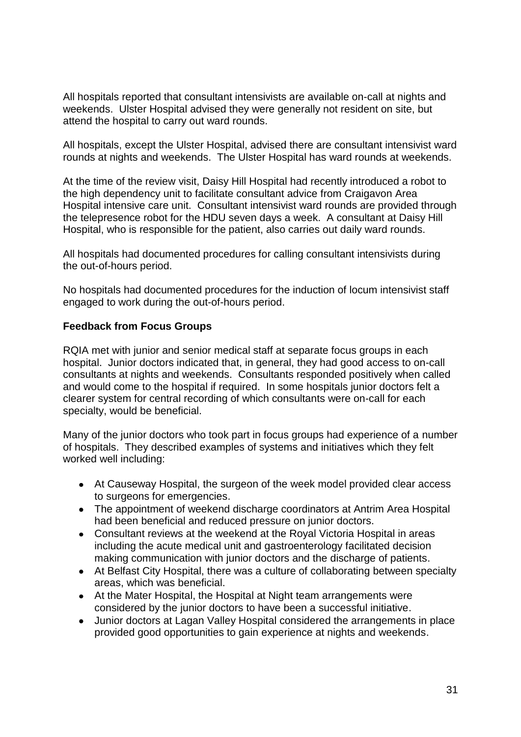All hospitals reported that consultant intensivists are available on-call at nights and weekends. Ulster Hospital advised they were generally not resident on site, but attend the hospital to carry out ward rounds.

All hospitals, except the Ulster Hospital, advised there are consultant intensivist ward rounds at nights and weekends. The Ulster Hospital has ward rounds at weekends.

At the time of the review visit, Daisy Hill Hospital had recently introduced a robot to the high dependency unit to facilitate consultant advice from Craigavon Area Hospital intensive care unit. Consultant intensivist ward rounds are provided through the telepresence robot for the HDU seven days a week. A consultant at Daisy Hill Hospital, who is responsible for the patient, also carries out daily ward rounds.

All hospitals had documented procedures for calling consultant intensivists during the out-of-hours period.

No hospitals had documented procedures for the induction of locum intensivist staff engaged to work during the out-of-hours period.

#### **Feedback from Focus Groups**

RQIA met with junior and senior medical staff at separate focus groups in each hospital. Junior doctors indicated that, in general, they had good access to on-call consultants at nights and weekends. Consultants responded positively when called and would come to the hospital if required. In some hospitals junior doctors felt a clearer system for central recording of which consultants were on-call for each specialty, would be beneficial.

Many of the junior doctors who took part in focus groups had experience of a number of hospitals. They described examples of systems and initiatives which they felt worked well including:

- At Causeway Hospital, the surgeon of the week model provided clear access to surgeons for emergencies.
- The appointment of weekend discharge coordinators at Antrim Area Hospital had been beneficial and reduced pressure on junior doctors.
- $\bullet$ Consultant reviews at the weekend at the Royal Victoria Hospital in areas including the acute medical unit and gastroenterology facilitated decision making communication with junior doctors and the discharge of patients.
- At Belfast City Hospital, there was a culture of collaborating between specialty areas, which was beneficial.
- At the Mater Hospital, the Hospital at Night team arrangements were considered by the junior doctors to have been a successful initiative.
- Junior doctors at Lagan Valley Hospital considered the arrangements in place provided good opportunities to gain experience at nights and weekends.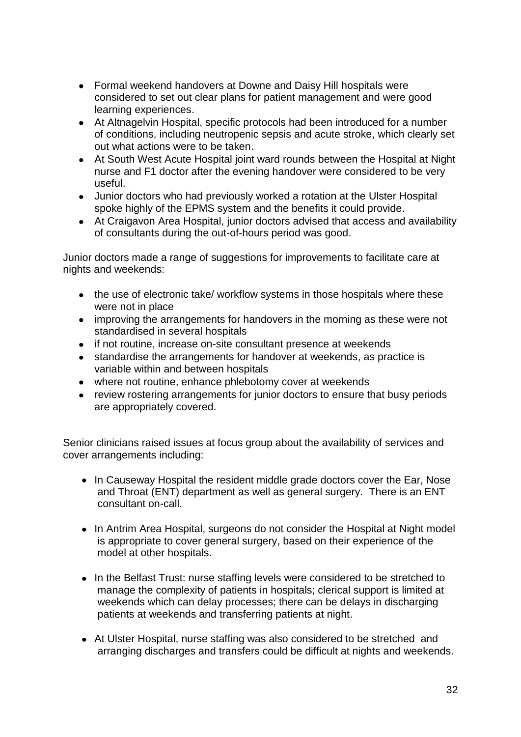- Formal weekend handovers at Downe and Daisy Hill hospitals were considered to set out clear plans for patient management and were good learning experiences.
- At Altnagelvin Hospital, specific protocols had been introduced for a number of conditions, including neutropenic sepsis and acute stroke, which clearly set out what actions were to be taken.
- At South West Acute Hospital joint ward rounds between the Hospital at Night nurse and F1 doctor after the evening handover were considered to be very useful.
- Junior doctors who had previously worked a rotation at the Ulster Hospital spoke highly of the EPMS system and the benefits it could provide.
- At Craigavon Area Hospital, junior doctors advised that access and availability of consultants during the out-of-hours period was good.

Junior doctors made a range of suggestions for improvements to facilitate care at nights and weekends:

- the use of electronic take/ workflow systems in those hospitals where these were not in place
- improving the arrangements for handovers in the morning as these were not standardised in several hospitals
- if not routine, increase on-site consultant presence at weekends
- standardise the arrangements for handover at weekends, as practice is variable within and between hospitals
- where not routine, enhance phlebotomy cover at weekends
- review rostering arrangements for junior doctors to ensure that busy periods are appropriately covered.

Senior clinicians raised issues at focus group about the availability of services and cover arrangements including:

- In Causeway Hospital the resident middle grade doctors cover the Ear, Nose and Throat (ENT) department as well as general surgery. There is an ENT consultant on-call.
- $\bullet$ In Antrim Area Hospital, surgeons do not consider the Hospital at Night model is appropriate to cover general surgery, based on their experience of the model at other hospitals.
- In the Belfast Trust: nurse staffing levels were considered to be stretched to manage the complexity of patients in hospitals; clerical support is limited at weekends which can delay processes; there can be delays in discharging patients at weekends and transferring patients at night.
- At Ulster Hospital, nurse staffing was also considered to be stretched and arranging discharges and transfers could be difficult at nights and weekends.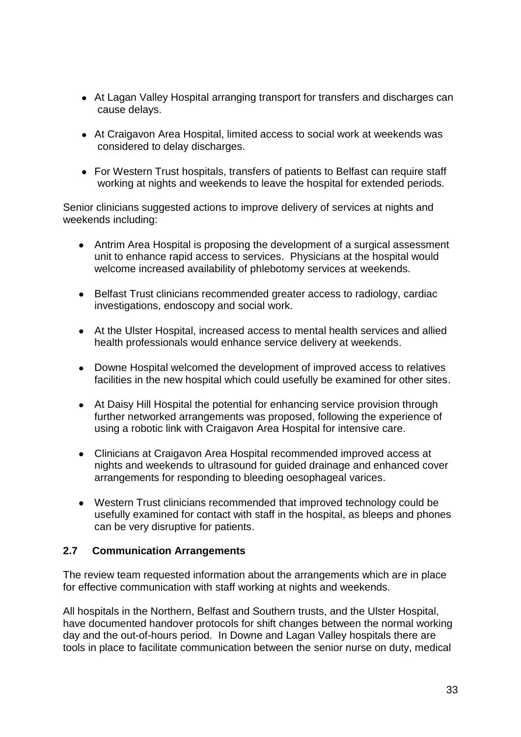- At Lagan Valley Hospital arranging transport for transfers and discharges can cause delays.
- At Craigavon Area Hospital, limited access to social work at weekends was considered to delay discharges.
- For Western Trust hospitals, transfers of patients to Belfast can require staff working at nights and weekends to leave the hospital for extended periods.

Senior clinicians suggested actions to improve delivery of services at nights and weekends including:

- Antrim Area Hospital is proposing the development of a surgical assessment unit to enhance rapid access to services. Physicians at the hospital would welcome increased availability of phlebotomy services at weekends.
- Belfast Trust clinicians recommended greater access to radiology, cardiac investigations, endoscopy and social work.
- At the Ulster Hospital, increased access to mental health services and allied health professionals would enhance service delivery at weekends.
- Downe Hospital welcomed the development of improved access to relatives facilities in the new hospital which could usefully be examined for other sites.
- At Daisy Hill Hospital the potential for enhancing service provision through further networked arrangements was proposed, following the experience of using a robotic link with Craigavon Area Hospital for intensive care.
- Clinicians at Craigavon Area Hospital recommended improved access at nights and weekends to ultrasound for guided drainage and enhanced cover arrangements for responding to bleeding oesophageal varices.
- Western Trust clinicians recommended that improved technology could be usefully examined for contact with staff in the hospital, as bleeps and phones can be very disruptive for patients.

#### <span id="page-35-0"></span>**2.7 Communication Arrangements**

The review team requested information about the arrangements which are in place for effective communication with staff working at nights and weekends.

All hospitals in the Northern, Belfast and Southern trusts, and the Ulster Hospital, have documented handover protocols for shift changes between the normal working day and the out-of-hours period. In Downe and Lagan Valley hospitals there are tools in place to facilitate communication between the senior nurse on duty, medical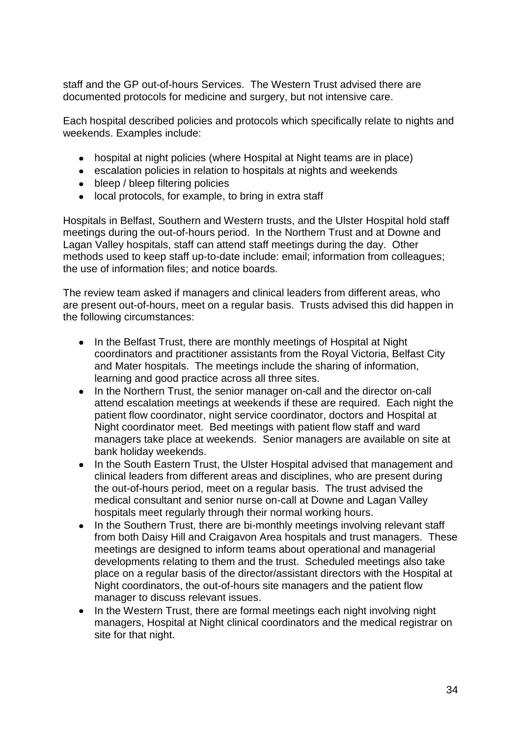staff and the GP out-of-hours Services. The Western Trust advised there are documented protocols for medicine and surgery, but not intensive care.

Each hospital described policies and protocols which specifically relate to nights and weekends. Examples include:

- hospital at night policies (where Hospital at Night teams are in place)
- escalation policies in relation to hospitals at nights and weekends
- bleep / bleep filtering policies
- local protocols, for example, to bring in extra staff

Hospitals in Belfast, Southern and Western trusts, and the Ulster Hospital hold staff meetings during the out-of-hours period. In the Northern Trust and at Downe and Lagan Valley hospitals, staff can attend staff meetings during the day. Other methods used to keep staff up-to-date include: email; information from colleagues; the use of information files; and notice boards.

The review team asked if managers and clinical leaders from different areas, who are present out-of-hours, meet on a regular basis. Trusts advised this did happen in the following circumstances:

- $\bullet$ In the Belfast Trust, there are monthly meetings of Hospital at Night coordinators and practitioner assistants from the Royal Victoria, Belfast City and Mater hospitals. The meetings include the sharing of information, learning and good practice across all three sites.
- In the Northern Trust, the senior manager on-call and the director on-call  $\bullet$ attend escalation meetings at weekends if these are required. Each night the patient flow coordinator, night service coordinator, doctors and Hospital at Night coordinator meet. Bed meetings with patient flow staff and ward managers take place at weekends. Senior managers are available on site at bank holiday weekends.
- In the South Eastern Trust, the Ulster Hospital advised that management and  $\bullet$ clinical leaders from different areas and disciplines, who are present during the out-of-hours period, meet on a regular basis. The trust advised the medical consultant and senior nurse on-call at Downe and Lagan Valley hospitals meet regularly through their normal working hours.
- In the Southern Trust, there are bi-monthly meetings involving relevant staff  $\bullet$ from both Daisy Hill and Craigavon Area hospitals and trust managers. These meetings are designed to inform teams about operational and managerial developments relating to them and the trust. Scheduled meetings also take place on a regular basis of the director/assistant directors with the Hospital at Night coordinators, the out-of-hours site managers and the patient flow manager to discuss relevant issues.
- In the Western Trust, there are formal meetings each night involving night  $\bullet$ managers, Hospital at Night clinical coordinators and the medical registrar on site for that night.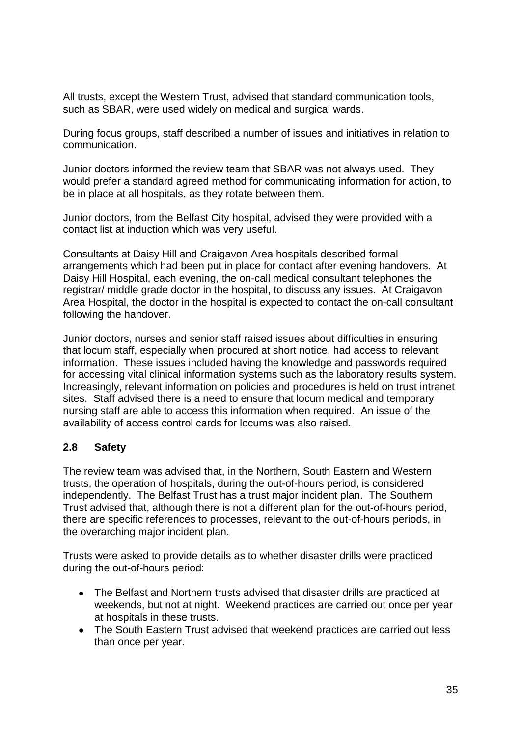All trusts, except the Western Trust, advised that standard communication tools, such as SBAR, were used widely on medical and surgical wards.

During focus groups, staff described a number of issues and initiatives in relation to communication.

Junior doctors informed the review team that SBAR was not always used. They would prefer a standard agreed method for communicating information for action, to be in place at all hospitals, as they rotate between them.

Junior doctors, from the Belfast City hospital, advised they were provided with a contact list at induction which was very useful.

Consultants at Daisy Hill and Craigavon Area hospitals described formal arrangements which had been put in place for contact after evening handovers. At Daisy Hill Hospital, each evening, the on-call medical consultant telephones the registrar/ middle grade doctor in the hospital, to discuss any issues. At Craigavon Area Hospital, the doctor in the hospital is expected to contact the on-call consultant following the handover.

Junior doctors, nurses and senior staff raised issues about difficulties in ensuring that locum staff, especially when procured at short notice, had access to relevant information. These issues included having the knowledge and passwords required for accessing vital clinical information systems such as the laboratory results system. Increasingly, relevant information on policies and procedures is held on trust intranet sites. Staff advised there is a need to ensure that locum medical and temporary nursing staff are able to access this information when required. An issue of the availability of access control cards for locums was also raised.

# <span id="page-37-0"></span>**2.8 Safety**

The review team was advised that, in the Northern, South Eastern and Western trusts, the operation of hospitals, during the out-of-hours period, is considered independently. The Belfast Trust has a trust major incident plan. The Southern Trust advised that, although there is not a different plan for the out-of-hours period, there are specific references to processes, relevant to the out-of-hours periods, in the overarching major incident plan.

Trusts were asked to provide details as to whether disaster drills were practiced during the out-of-hours period:

- The Belfast and Northern trusts advised that disaster drills are practiced at weekends, but not at night. Weekend practices are carried out once per year at hospitals in these trusts.
- The South Eastern Trust advised that weekend practices are carried out less than once per year.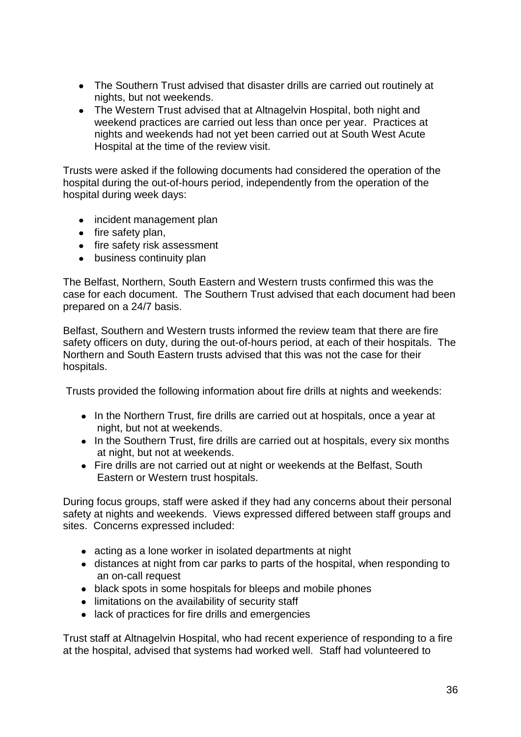- The Southern Trust advised that disaster drills are carried out routinely at nights, but not weekends.
- The Western Trust advised that at Altnagelvin Hospital, both night and weekend practices are carried out less than once per year. Practices at nights and weekends had not yet been carried out at South West Acute Hospital at the time of the review visit.

Trusts were asked if the following documents had considered the operation of the hospital during the out-of-hours period, independently from the operation of the hospital during week days:

- incident management plan
- $\bullet$  fire safety plan,
- fire safety risk assessment
- business continuity plan

The Belfast, Northern, South Eastern and Western trusts confirmed this was the case for each document. The Southern Trust advised that each document had been prepared on a 24/7 basis.

Belfast, Southern and Western trusts informed the review team that there are fire safety officers on duty, during the out-of-hours period, at each of their hospitals. The Northern and South Eastern trusts advised that this was not the case for their hospitals.

Trusts provided the following information about fire drills at nights and weekends:

- In the Northern Trust, fire drills are carried out at hospitals, once a year at night, but not at weekends.
- In the Southern Trust, fire drills are carried out at hospitals, every six months at night, but not at weekends.
- Fire drills are not carried out at night or weekends at the Belfast, South Eastern or Western trust hospitals.

During focus groups, staff were asked if they had any concerns about their personal safety at nights and weekends. Views expressed differed between staff groups and sites. Concerns expressed included:

- acting as a lone worker in isolated departments at night
- distances at night from car parks to parts of the hospital, when responding to an on-call request
- black spots in some hospitals for bleeps and mobile phones
- limitations on the availability of security staff
- lack of practices for fire drills and emergencies

Trust staff at Altnagelvin Hospital, who had recent experience of responding to a fire at the hospital, advised that systems had worked well. Staff had volunteered to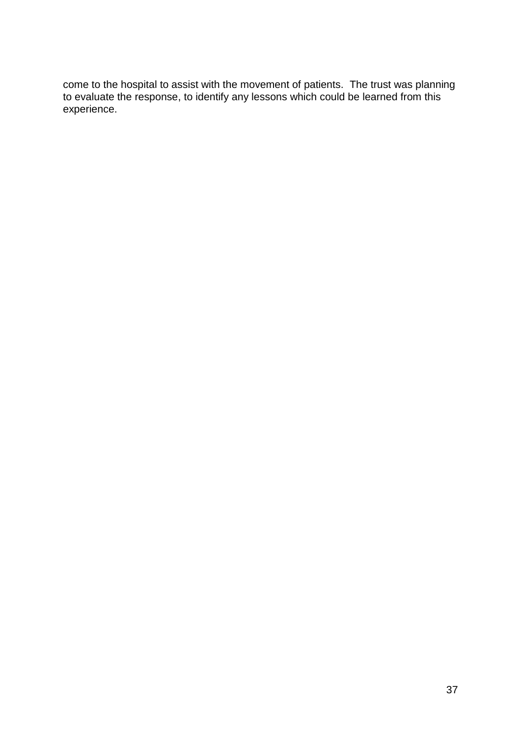come to the hospital to assist with the movement of patients. The trust was planning to evaluate the response, to identify any lessons which could be learned from this experience.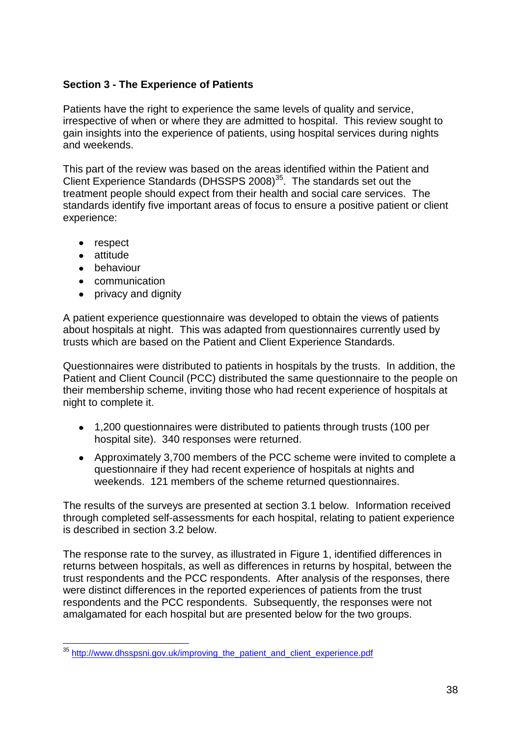# <span id="page-40-0"></span>**Section 3 - The Experience of Patients**

Patients have the right to experience the same levels of quality and service, irrespective of when or where they are admitted to hospital. This review sought to gain insights into the experience of patients, using hospital services during nights and weekends.

This part of the review was based on the areas identified within the Patient and Client Experience Standards (DHSSPS  $2008$ )<sup>35</sup>. The standards set out the treatment people should expect from their health and social care services. The standards identify five important areas of focus to ensure a positive patient or client experience:

- respect
- attitude
- **•** behaviour
- communication
- privacy and dignity

A patient experience questionnaire was developed to obtain the views of patients about hospitals at night. This was adapted from questionnaires currently used by trusts which are based on the Patient and Client Experience Standards.

Questionnaires were distributed to patients in hospitals by the trusts. In addition, the Patient and Client Council (PCC) distributed the same questionnaire to the people on their membership scheme, inviting those who had recent experience of hospitals at night to complete it.

- 1,200 questionnaires were distributed to patients through trusts (100 per hospital site). 340 responses were returned.
- Approximately 3,700 members of the PCC scheme were invited to complete a questionnaire if they had recent experience of hospitals at nights and weekends. 121 members of the scheme returned questionnaires.

The results of the surveys are presented at section 3.1 below. Information received through completed self-assessments for each hospital, relating to patient experience is described in section 3.2 below.

The response rate to the survey, as illustrated in Figure 1, identified differences in returns between hospitals, as well as differences in returns by hospital, between the trust respondents and the PCC respondents. After analysis of the responses, there were distinct differences in the reported experiences of patients from the trust respondents and the PCC respondents. Subsequently, the responses were not amalgamated for each hospital but are presented below for the two groups.

<sup>1</sup> <sup>35</sup> [http://www.dhsspsni.gov.uk/improving\\_the\\_patient\\_and\\_client\\_experience.pdf](http://www.dhsspsni.gov.uk/improving_the_patient_and_client_experience.pdf)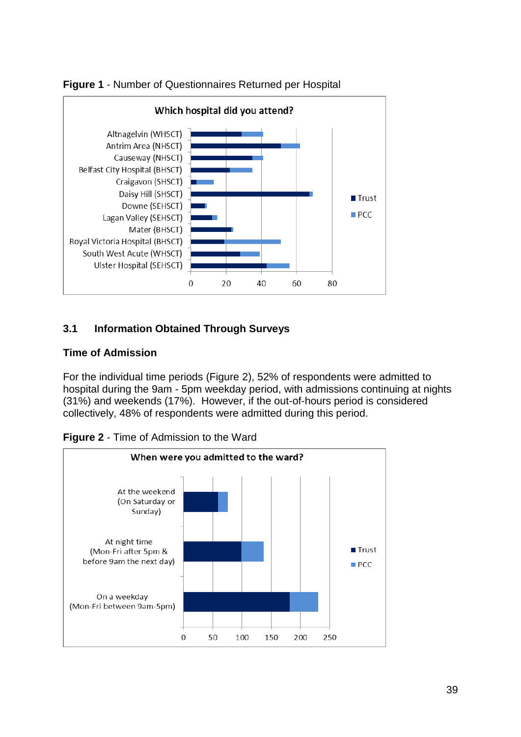



# <span id="page-41-0"></span>**3.1 Information Obtained Through Surveys**

# **Time of Admission**

For the individual time periods (Figure 2), 52% of respondents were admitted to hospital during the 9am - 5pm weekday period, with admissions continuing at nights (31%) and weekends (17%). However, if the out-of-hours period is considered collectively, 48% of respondents were admitted during this period.

**Figure 2** - Time of Admission to the Ward

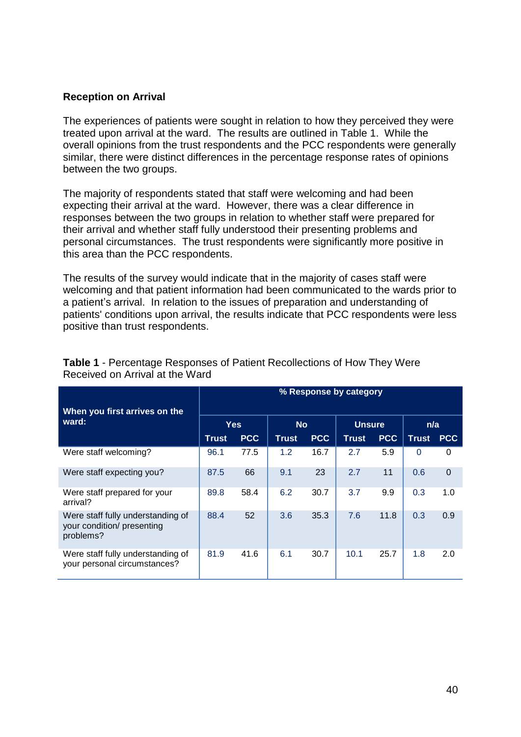#### **Reception on Arrival**

The experiences of patients were sought in relation to how they perceived they were treated upon arrival at the ward. The results are outlined in Table 1. While the overall opinions from the trust respondents and the PCC respondents were generally similar, there were distinct differences in the percentage response rates of opinions between the two groups.

The majority of respondents stated that staff were welcoming and had been expecting their arrival at the ward. However, there was a clear difference in responses between the two groups in relation to whether staff were prepared for their arrival and whether staff fully understood their presenting problems and personal circumstances. The trust respondents were significantly more positive in this area than the PCC respondents.

The results of the survey would indicate that in the majority of cases staff were welcoming and that patient information had been communicated to the wards prior to a patient's arrival. In relation to the issues of preparation and understanding of patients' conditions upon arrival, the results indicate that PCC respondents were less positive than trust respondents.

|                                                                              |              |            |           |            | % Response by category |            |              |             |
|------------------------------------------------------------------------------|--------------|------------|-----------|------------|------------------------|------------|--------------|-------------|
| When you first arrives on the<br>ward:                                       | <b>Yes</b>   |            | <b>No</b> |            | <b>Unsure</b>          |            | n/a          |             |
|                                                                              | <b>Trust</b> | <b>PCC</b> | Trust     | <b>PCC</b> | <b>Trust</b>           | <b>PCC</b> | <b>Trust</b> | <b>PCC</b>  |
| Were staff welcoming?                                                        | 96.1         | 77.5       | 1.2       | 16.7       | 2.7                    | 5.9        | $\Omega$     | 0           |
| Were staff expecting you?                                                    | 87.5         | 66         | 9.1       | 23         | 2.7                    | 11         | 0.6          | $\mathbf 0$ |
| Were staff prepared for your<br>arrival?                                     | 89.8         | 58.4       | 6.2       | 30.7       | 3.7                    | 9.9        | 0.3          | 1.0         |
| Were staff fully understanding of<br>your condition/ presenting<br>problems? | 88.4         | 52         | 3.6       | 35.3       | 7.6                    | 11.8       | 0.3          | 0.9         |
| Were staff fully understanding of<br>your personal circumstances?            | 81.9         | 41.6       | 6.1       | 30.7       | 10.1                   | 25.7       | 1.8          | 2.0         |

#### **Table 1** - Percentage Responses of Patient Recollections of How They Were Received on Arrival at the Ward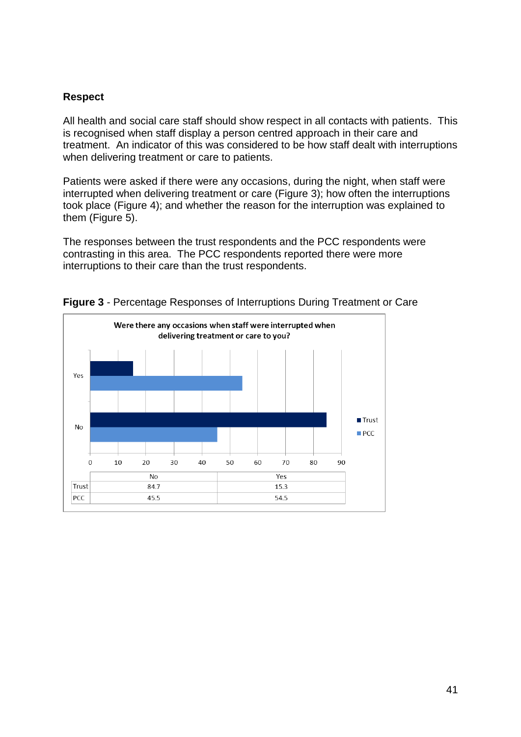#### **Respect**

All health and social care staff should show respect in all contacts with patients. This is recognised when staff display a person centred approach in their care and treatment. An indicator of this was considered to be how staff dealt with interruptions when delivering treatment or care to patients.

Patients were asked if there were any occasions, during the night, when staff were interrupted when delivering treatment or care (Figure 3); how often the interruptions took place (Figure 4); and whether the reason for the interruption was explained to them (Figure 5).

The responses between the trust respondents and the PCC respondents were contrasting in this area. The PCC respondents reported there were more interruptions to their care than the trust respondents.



**Figure 3** - Percentage Responses of Interruptions During Treatment or Care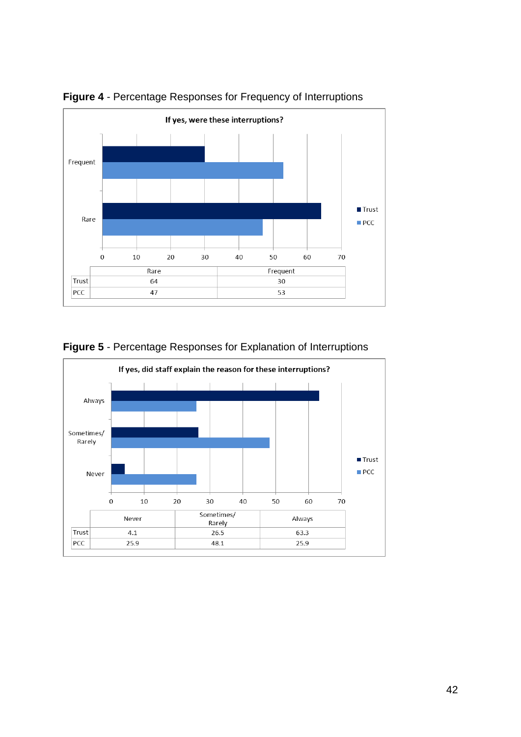

**Figure 4** - Percentage Responses for Frequency of Interruptions



# **Figure 5** - Percentage Responses for Explanation of Interruptions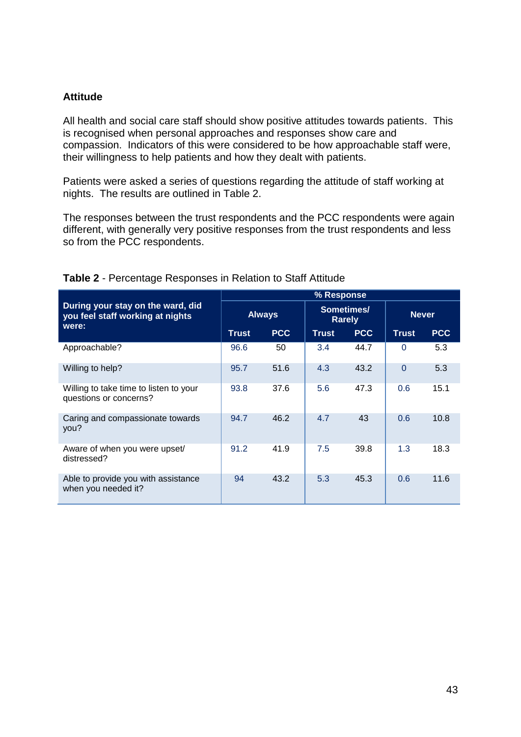#### **Attitude**

All health and social care staff should show positive attitudes towards patients. This is recognised when personal approaches and responses show care and compassion. Indicators of this were considered to be how approachable staff were, their willingness to help patients and how they dealt with patients.

Patients were asked a series of questions regarding the attitude of staff working at nights. The results are outlined in Table 2.

The responses between the trust respondents and the PCC respondents were again different, with generally very positive responses from the trust respondents and less so from the PCC respondents.

|                                                                       | % Response    |            |                             |            |              |            |  |
|-----------------------------------------------------------------------|---------------|------------|-----------------------------|------------|--------------|------------|--|
| During your stay on the ward, did<br>you feel staff working at nights | <b>Always</b> |            | Sometimes/<br><b>Rarely</b> |            | <b>Never</b> |            |  |
| were:                                                                 | <b>Trust</b>  | <b>PCC</b> | <b>Trust</b>                | <b>PCC</b> | <b>Trust</b> | <b>PCC</b> |  |
| Approachable?                                                         | 96.6          | 50         | 3.4                         | 44.7       | $\Omega$     | 5.3        |  |
| Willing to help?                                                      | 95.7          | 51.6       | 4.3                         | 43.2       | $\Omega$     | 5.3        |  |
| Willing to take time to listen to your<br>questions or concerns?      | 93.8          | 37.6       | 5.6                         | 47.3       | 0.6          | 15.1       |  |
| Caring and compassionate towards<br>you?                              | 94.7          | 46.2       | 4.7                         | 43         | 0.6          | 10.8       |  |
| Aware of when you were upset/<br>distressed?                          | 91.2          | 41.9       | 7.5                         | 39.8       | 1.3          | 18.3       |  |
| Able to provide you with assistance<br>when you needed it?            | 94            | 43.2       | 5.3                         | 45.3       | 0.6          | 11.6       |  |

#### **Table 2** - Percentage Responses in Relation to Staff Attitude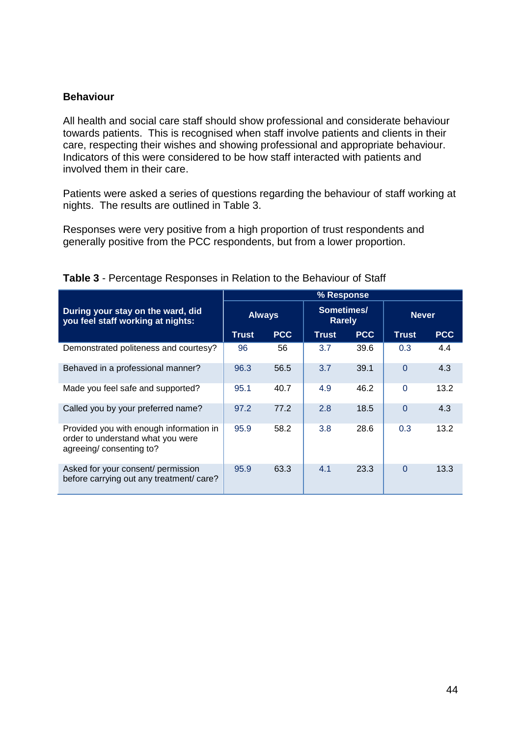#### **Behaviour**

All health and social care staff should show professional and considerate behaviour towards patients. This is recognised when staff involve patients and clients in their care, respecting their wishes and showing professional and appropriate behaviour. Indicators of this were considered to be how staff interacted with patients and involved them in their care.

Patients were asked a series of questions regarding the behaviour of staff working at nights. The results are outlined in Table 3.

Responses were very positive from a high proportion of trust respondents and generally positive from the PCC respondents, but from a lower proportion.

|                                                                                                         | % Response    |            |                             |            |              |            |  |
|---------------------------------------------------------------------------------------------------------|---------------|------------|-----------------------------|------------|--------------|------------|--|
| During your stay on the ward, did<br>you feel staff working at nights:                                  | <b>Always</b> |            | Sometimes/<br><b>Rarely</b> |            | <b>Never</b> |            |  |
|                                                                                                         | <b>Trust</b>  | <b>PCC</b> | <b>Trust</b>                | <b>PCC</b> | <b>Trust</b> | <b>PCC</b> |  |
| Demonstrated politeness and courtesy?                                                                   | 96            | 56         | 3.7                         | 39.6       | 0.3          | 4.4        |  |
| Behaved in a professional manner?                                                                       | 96.3          | 56.5       | 3.7                         | 39.1       | $\Omega$     | 4.3        |  |
| Made you feel safe and supported?                                                                       | 95.1          | 40.7       | 4.9                         | 46.2       | $\Omega$     | 13.2       |  |
| Called you by your preferred name?                                                                      | 97.2          | 77.2       | 2.8                         | 18.5       | $\Omega$     | 4.3        |  |
| Provided you with enough information in<br>order to understand what you were<br>agreeing/consenting to? | 95.9          | 58.2       | 3.8                         | 28.6       | 0.3          | 13.2       |  |
| Asked for your consent/ permission<br>before carrying out any treatment/ care?                          | 95.9          | 63.3       | 4.1                         | 23.3       | $\Omega$     | 13.3       |  |

#### **Table 3** - Percentage Responses in Relation to the Behaviour of Staff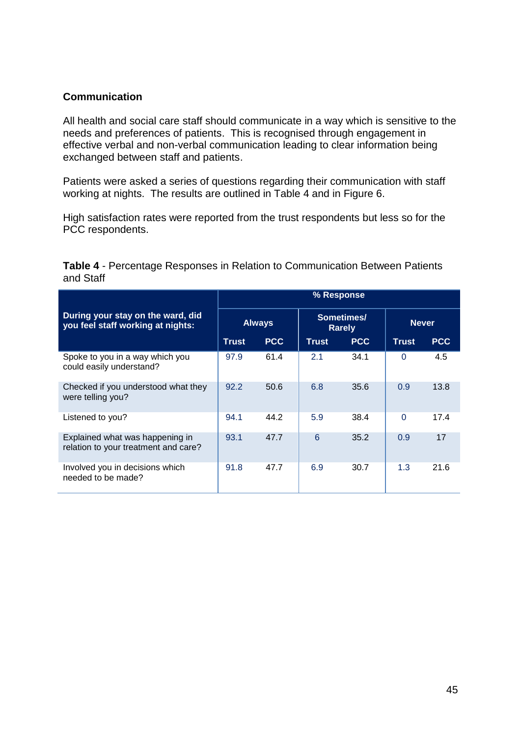# **Communication**

All health and social care staff should communicate in a way which is sensitive to the needs and preferences of patients. This is recognised through engagement in effective verbal and non-verbal communication leading to clear information being exchanged between staff and patients.

Patients were asked a series of questions regarding their communication with staff working at nights. The results are outlined in Table 4 and in Figure 6.

High satisfaction rates were reported from the trust respondents but less so for the PCC respondents.

| <b>Table 4 - Percentage Responses in Relation to Communication Between Patients</b> |  |  |  |
|-------------------------------------------------------------------------------------|--|--|--|
| and Staff                                                                           |  |  |  |

|                                                                         |       |               | % Response   |                             |              |            |
|-------------------------------------------------------------------------|-------|---------------|--------------|-----------------------------|--------------|------------|
| During your stay on the ward, did<br>you feel staff working at nights:  |       | <b>Always</b> |              | Sometimes/<br><b>Rarely</b> | <b>Never</b> |            |
|                                                                         | Trust | <b>PCC</b>    | <b>Trust</b> | <b>PCC</b>                  | <b>Trust</b> | <b>PCC</b> |
| Spoke to you in a way which you<br>could easily understand?             | 97.9  | 61.4          | 2.1          | 34.1                        | $\Omega$     | 4.5        |
| Checked if you understood what they<br>were telling you?                | 92.2  | 50.6          | 6.8          | 35.6                        | 0.9          | 13.8       |
| Listened to you?                                                        | 94.1  | 44.2          | 5.9          | 38.4                        | 0            | 17.4       |
| Explained what was happening in<br>relation to your treatment and care? | 93.1  | 47.7          | 6            | 35.2                        | 0.9          | 17         |
| Involved you in decisions which<br>needed to be made?                   | 91.8  | 47.7          | 6.9          | 30.7                        | 1.3          | 21.6       |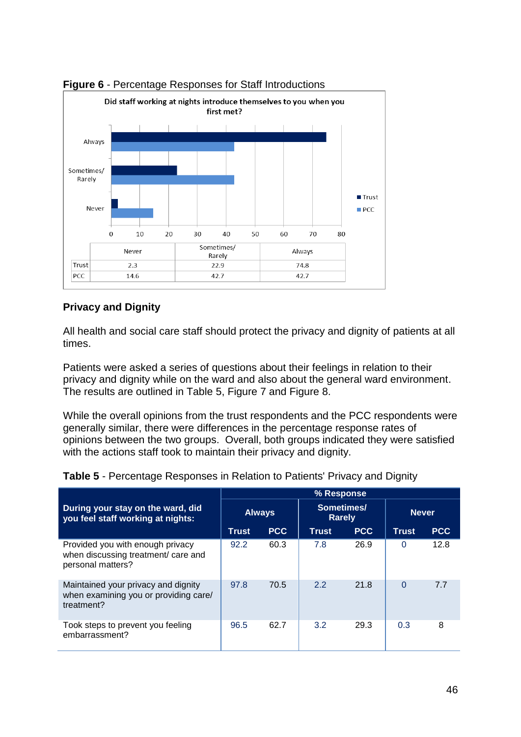

# **Figure 6** - Percentage Responses for Staff Introductions

# **Privacy and Dignity**

All health and social care staff should protect the privacy and dignity of patients at all times.

Patients were asked a series of questions about their feelings in relation to their privacy and dignity while on the ward and also about the general ward environment. The results are outlined in Table 5, Figure 7 and Figure 8.

While the overall opinions from the trust respondents and the PCC respondents were generally similar, there were differences in the percentage response rates of opinions between the two groups. Overall, both groups indicated they were satisfied with the actions staff took to maintain their privacy and dignity.

|                                                                                              |              |               | % Response                  |            |              |            |
|----------------------------------------------------------------------------------------------|--------------|---------------|-----------------------------|------------|--------------|------------|
| During your stay on the ward, did<br>you feel staff working at nights:                       |              | <b>Always</b> | Sometimes/<br><b>Rarely</b> |            | <b>Never</b> |            |
|                                                                                              | <b>Trust</b> | <b>PCC</b>    | <b>Trust</b>                | <b>PCC</b> | <b>Trust</b> | <b>PCC</b> |
| Provided you with enough privacy<br>when discussing treatment/ care and<br>personal matters? | 92.2         | 60.3          | 7.8                         | 26.9       | 0            | 12.8       |
| Maintained your privacy and dignity<br>when examining you or providing care/<br>treatment?   | 97.8         | 70.5          | 2.2                         | 21.8       | 0            | 77         |
| Took steps to prevent you feeling<br>embarrassment?                                          | 96.5         | 62.7          | 3.2                         | 29.3       | 0.3          | 8          |

**Table 5** - Percentage Responses in Relation to Patients' Privacy and Dignity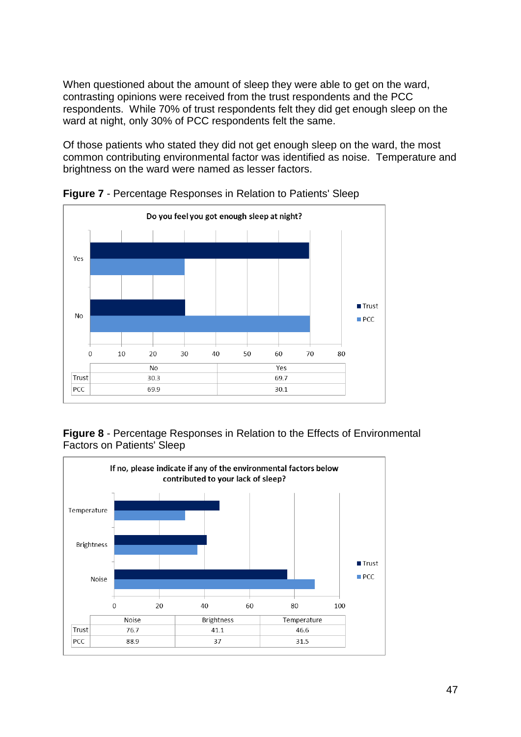When questioned about the amount of sleep they were able to get on the ward, contrasting opinions were received from the trust respondents and the PCC respondents. While 70% of trust respondents felt they did get enough sleep on the ward at night, only 30% of PCC respondents felt the same.

Of those patients who stated they did not get enough sleep on the ward, the most common contributing environmental factor was identified as noise. Temperature and brightness on the ward were named as lesser factors.



**Figure 7** - Percentage Responses in Relation to Patients' Sleep



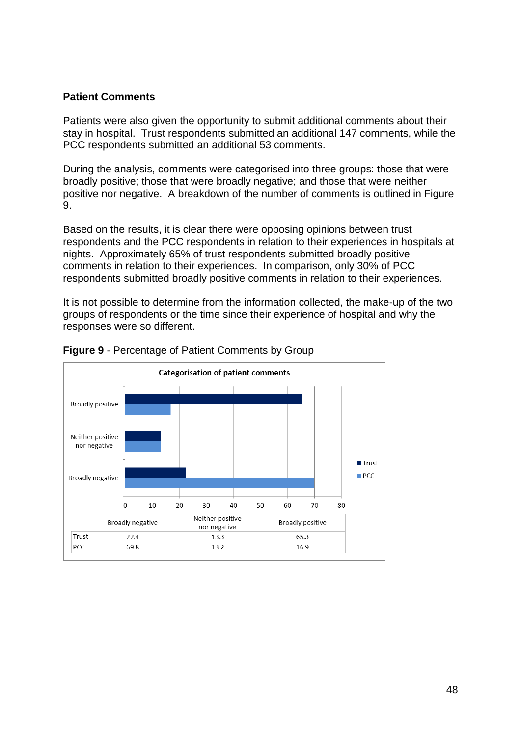#### **Patient Comments**

Patients were also given the opportunity to submit additional comments about their stay in hospital. Trust respondents submitted an additional 147 comments, while the PCC respondents submitted an additional 53 comments.

During the analysis, comments were categorised into three groups: those that were broadly positive; those that were broadly negative; and those that were neither positive nor negative. A breakdown of the number of comments is outlined in Figure 9.

Based on the results, it is clear there were opposing opinions between trust respondents and the PCC respondents in relation to their experiences in hospitals at nights. Approximately 65% of trust respondents submitted broadly positive comments in relation to their experiences. In comparison, only 30% of PCC respondents submitted broadly positive comments in relation to their experiences.

It is not possible to determine from the information collected, the make-up of the two groups of respondents or the time since their experience of hospital and why the responses were so different.



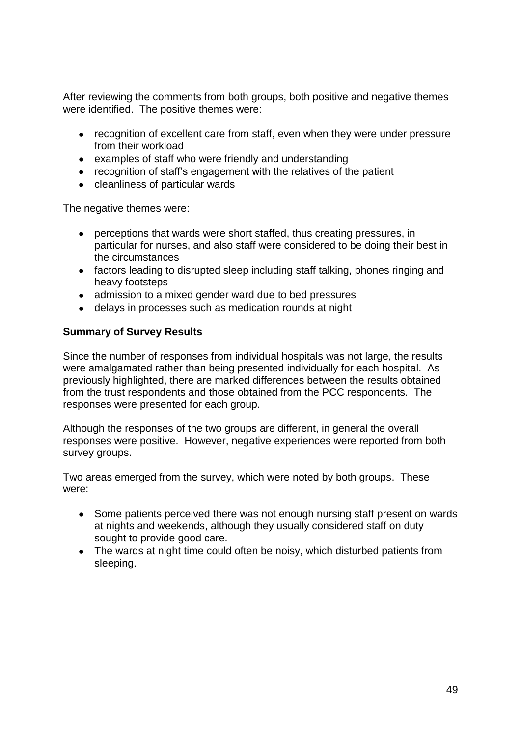After reviewing the comments from both groups, both positive and negative themes were identified. The positive themes were:

- recognition of excellent care from staff, even when they were under pressure from their workload
- examples of staff who were friendly and understanding
- recognition of staff's engagement with the relatives of the patient
- cleanliness of particular wards

The negative themes were:

- perceptions that wards were short staffed, thus creating pressures, in particular for nurses, and also staff were considered to be doing their best in the circumstances
- factors leading to disrupted sleep including staff talking, phones ringing and heavy footsteps
- admission to a mixed gender ward due to bed pressures
- delays in processes such as medication rounds at night

# **Summary of Survey Results**

Since the number of responses from individual hospitals was not large, the results were amalgamated rather than being presented individually for each hospital. As previously highlighted, there are marked differences between the results obtained from the trust respondents and those obtained from the PCC respondents. The responses were presented for each group.

Although the responses of the two groups are different, in general the overall responses were positive. However, negative experiences were reported from both survey groups.

Two areas emerged from the survey, which were noted by both groups. These were:

- $\bullet$ Some patients perceived there was not enough nursing staff present on wards at nights and weekends, although they usually considered staff on duty sought to provide good care.
- The wards at night time could often be noisy, which disturbed patients from sleeping.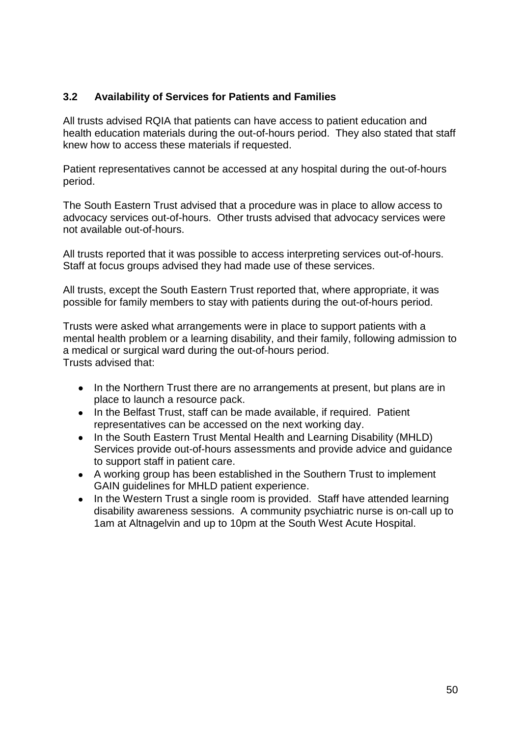# <span id="page-52-0"></span>**3.2 Availability of Services for Patients and Families**

All trusts advised RQIA that patients can have access to patient education and health education materials during the out-of-hours period. They also stated that staff knew how to access these materials if requested.

Patient representatives cannot be accessed at any hospital during the out-of-hours period.

The South Eastern Trust advised that a procedure was in place to allow access to advocacy services out-of-hours. Other trusts advised that advocacy services were not available out-of-hours.

All trusts reported that it was possible to access interpreting services out-of-hours. Staff at focus groups advised they had made use of these services.

All trusts, except the South Eastern Trust reported that, where appropriate, it was possible for family members to stay with patients during the out-of-hours period.

Trusts were asked what arrangements were in place to support patients with a mental health problem or a learning disability, and their family, following admission to a medical or surgical ward during the out-of-hours period. Trusts advised that:

- In the Northern Trust there are no arrangements at present, but plans are in place to launch a resource pack.
- In the Belfast Trust, staff can be made available, if required. Patient representatives can be accessed on the next working day.
- In the South Eastern Trust Mental Health and Learning Disability (MHLD) Services provide out-of-hours assessments and provide advice and guidance to support staff in patient care.
- A working group has been established in the Southern Trust to implement GAIN guidelines for MHLD patient experience.
- In the Western Trust a single room is provided. Staff have attended learning disability awareness sessions. A community psychiatric nurse is on-call up to 1am at Altnagelvin and up to 10pm at the South West Acute Hospital.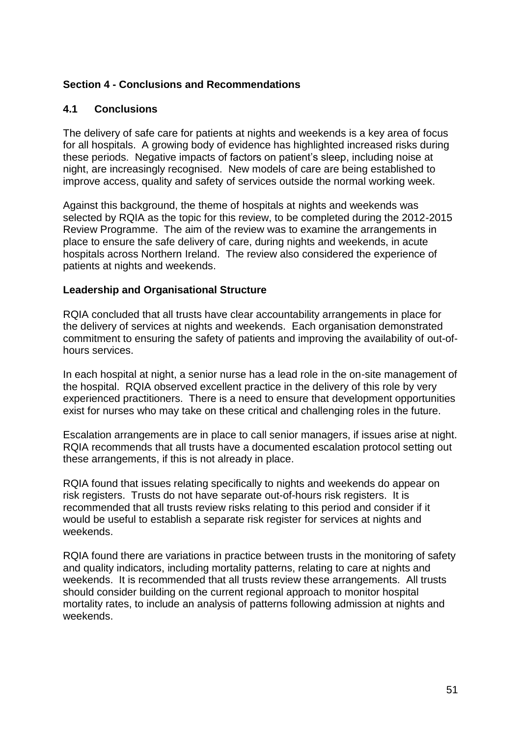# <span id="page-53-0"></span>**Section 4 - Conclusions and Recommendations**

# <span id="page-53-1"></span>**4.1 Conclusions**

The delivery of safe care for patients at nights and weekends is a key area of focus for all hospitals. A growing body of evidence has highlighted increased risks during these periods. Negative impacts of factors on patient's sleep, including noise at night, are increasingly recognised. New models of care are being established to improve access, quality and safety of services outside the normal working week.

Against this background, the theme of hospitals at nights and weekends was selected by RQIA as the topic for this review, to be completed during the 2012-2015 Review Programme. The aim of the review was to examine the arrangements in place to ensure the safe delivery of care, during nights and weekends, in acute hospitals across Northern Ireland. The review also considered the experience of patients at nights and weekends.

#### **Leadership and Organisational Structure**

RQIA concluded that all trusts have clear accountability arrangements in place for the delivery of services at nights and weekends. Each organisation demonstrated commitment to ensuring the safety of patients and improving the availability of out-ofhours services.

In each hospital at night, a senior nurse has a lead role in the on-site management of the hospital. RQIA observed excellent practice in the delivery of this role by very experienced practitioners. There is a need to ensure that development opportunities exist for nurses who may take on these critical and challenging roles in the future.

Escalation arrangements are in place to call senior managers, if issues arise at night. RQIA recommends that all trusts have a documented escalation protocol setting out these arrangements, if this is not already in place.

RQIA found that issues relating specifically to nights and weekends do appear on risk registers. Trusts do not have separate out-of-hours risk registers. It is recommended that all trusts review risks relating to this period and consider if it would be useful to establish a separate risk register for services at nights and weekends.

RQIA found there are variations in practice between trusts in the monitoring of safety and quality indicators, including mortality patterns, relating to care at nights and weekends. It is recommended that all trusts review these arrangements. All trusts should consider building on the current regional approach to monitor hospital mortality rates, to include an analysis of patterns following admission at nights and weekends.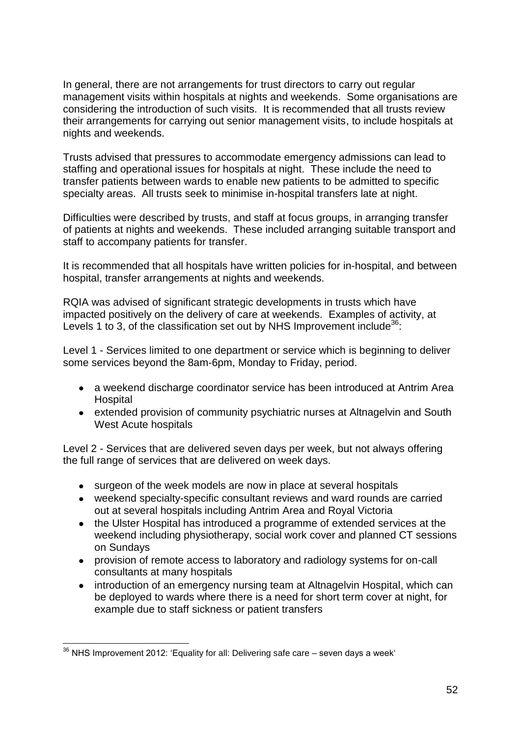In general, there are not arrangements for trust directors to carry out regular management visits within hospitals at nights and weekends. Some organisations are considering the introduction of such visits. It is recommended that all trusts review their arrangements for carrying out senior management visits, to include hospitals at nights and weekends.

Trusts advised that pressures to accommodate emergency admissions can lead to staffing and operational issues for hospitals at night. These include the need to transfer patients between wards to enable new patients to be admitted to specific specialty areas. All trusts seek to minimise in-hospital transfers late at night.

Difficulties were described by trusts, and staff at focus groups, in arranging transfer of patients at nights and weekends. These included arranging suitable transport and staff to accompany patients for transfer.

It is recommended that all hospitals have written policies for in-hospital, and between hospital, transfer arrangements at nights and weekends.

RQIA was advised of significant strategic developments in trusts which have impacted positively on the delivery of care at weekends. Examples of activity, at Levels 1 to 3, of the classification set out by NHS Improvement include<sup>36</sup>:

Level 1 - Services limited to one department or service which is beginning to deliver some services beyond the 8am-6pm, Monday to Friday, period.

- a weekend discharge coordinator service has been introduced at Antrim Area **Hospital**
- extended provision of community psychiatric nurses at Altnagelvin and South West Acute hospitals

Level 2 - Services that are delivered seven days per week, but not always offering the full range of services that are delivered on week days.

- surgeon of the week models are now in place at several hospitals
- weekend specialty-specific consultant reviews and ward rounds are carried out at several hospitals including Antrim Area and Royal Victoria
- the Ulster Hospital has introduced a programme of extended services at the weekend including physiotherapy, social work cover and planned CT sessions on Sundays
- provision of remote access to laboratory and radiology systems for on-call consultants at many hospitals
- $\bullet$ introduction of an emergency nursing team at Altnagelvin Hospital, which can be deployed to wards where there is a need for short term cover at night, for example due to staff sickness or patient transfers

<sup>1</sup>  $36$  NHS Improvement 2012: 'Equality for all: Delivering safe care – seven days a week'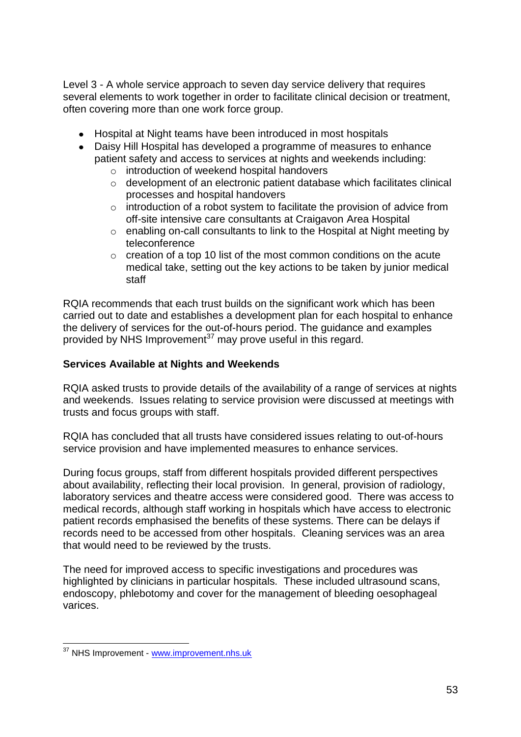Level 3 - A whole service approach to seven day service delivery that requires several elements to work together in order to facilitate clinical decision or treatment, often covering more than one work force group.

- Hospital at Night teams have been introduced in most hospitals
- Daisy Hill Hospital has developed a programme of measures to enhance patient safety and access to services at nights and weekends including:
	- o introduction of weekend hospital handovers
	- o development of an electronic patient database which facilitates clinical processes and hospital handovers
	- o introduction of a robot system to facilitate the provision of advice from off-site intensive care consultants at Craigavon Area Hospital
	- o enabling on-call consultants to link to the Hospital at Night meeting by teleconference
	- $\circ$  creation of a top 10 list of the most common conditions on the acute medical take, setting out the key actions to be taken by junior medical staff

RQIA recommends that each trust builds on the significant work which has been carried out to date and establishes a development plan for each hospital to enhance the delivery of services for the out-of-hours period. The guidance and examples provided by NHS Improvement<sup>37</sup> may prove useful in this regard.

#### **Services Available at Nights and Weekends**

RQIA asked trusts to provide details of the availability of a range of services at nights and weekends. Issues relating to service provision were discussed at meetings with trusts and focus groups with staff.

RQIA has concluded that all trusts have considered issues relating to out-of-hours service provision and have implemented measures to enhance services.

During focus groups, staff from different hospitals provided different perspectives about availability, reflecting their local provision. In general, provision of radiology, laboratory services and theatre access were considered good. There was access to medical records, although staff working in hospitals which have access to electronic patient records emphasised the benefits of these systems. There can be delays if records need to be accessed from other hospitals. Cleaning services was an area that would need to be reviewed by the trusts.

The need for improved access to specific investigations and procedures was highlighted by clinicians in particular hospitals. These included ultrasound scans, endoscopy, phlebotomy and cover for the management of bleeding oesophageal varices.

<sup>1</sup> <sup>37</sup> NHS Improvement - [www.improvement.nhs.uk](http://www.improvement.nhs.uk/)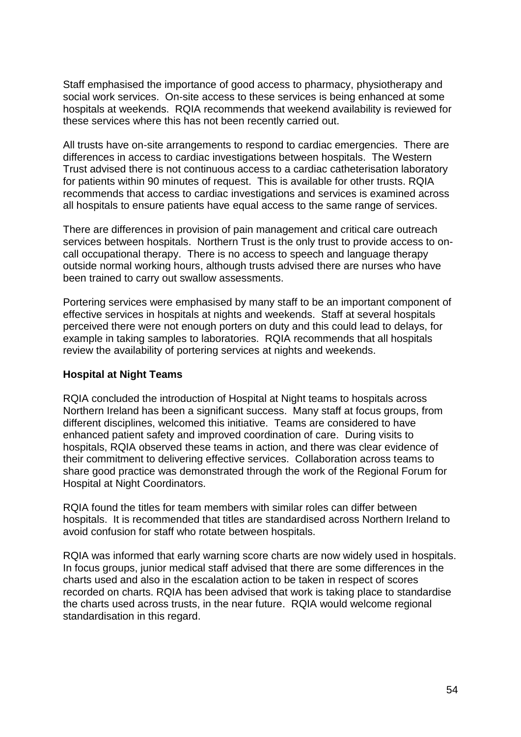Staff emphasised the importance of good access to pharmacy, physiotherapy and social work services. On-site access to these services is being enhanced at some hospitals at weekends. RQIA recommends that weekend availability is reviewed for these services where this has not been recently carried out.

All trusts have on-site arrangements to respond to cardiac emergencies. There are differences in access to cardiac investigations between hospitals. The Western Trust advised there is not continuous access to a cardiac catheterisation laboratory for patients within 90 minutes of request. This is available for other trusts. RQIA recommends that access to cardiac investigations and services is examined across all hospitals to ensure patients have equal access to the same range of services.

There are differences in provision of pain management and critical care outreach services between hospitals. Northern Trust is the only trust to provide access to oncall occupational therapy. There is no access to speech and language therapy outside normal working hours, although trusts advised there are nurses who have been trained to carry out swallow assessments.

Portering services were emphasised by many staff to be an important component of effective services in hospitals at nights and weekends. Staff at several hospitals perceived there were not enough porters on duty and this could lead to delays, for example in taking samples to laboratories. RQIA recommends that all hospitals review the availability of portering services at nights and weekends.

#### **Hospital at Night Teams**

RQIA concluded the introduction of Hospital at Night teams to hospitals across Northern Ireland has been a significant success. Many staff at focus groups, from different disciplines, welcomed this initiative. Teams are considered to have enhanced patient safety and improved coordination of care. During visits to hospitals, RQIA observed these teams in action, and there was clear evidence of their commitment to delivering effective services. Collaboration across teams to share good practice was demonstrated through the work of the Regional Forum for Hospital at Night Coordinators.

RQIA found the titles for team members with similar roles can differ between hospitals. It is recommended that titles are standardised across Northern Ireland to avoid confusion for staff who rotate between hospitals.

RQIA was informed that early warning score charts are now widely used in hospitals. In focus groups, junior medical staff advised that there are some differences in the charts used and also in the escalation action to be taken in respect of scores recorded on charts. RQIA has been advised that work is taking place to standardise the charts used across trusts, in the near future. RQIA would welcome regional standardisation in this regard.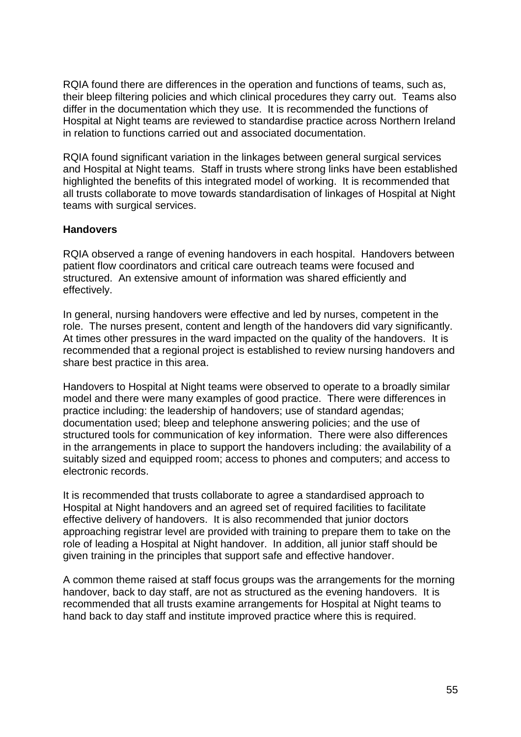RQIA found there are differences in the operation and functions of teams, such as, their bleep filtering policies and which clinical procedures they carry out. Teams also differ in the documentation which they use. It is recommended the functions of Hospital at Night teams are reviewed to standardise practice across Northern Ireland in relation to functions carried out and associated documentation.

RQIA found significant variation in the linkages between general surgical services and Hospital at Night teams. Staff in trusts where strong links have been established highlighted the benefits of this integrated model of working. It is recommended that all trusts collaborate to move towards standardisation of linkages of Hospital at Night teams with surgical services.

#### **Handovers**

RQIA observed a range of evening handovers in each hospital. Handovers between patient flow coordinators and critical care outreach teams were focused and structured. An extensive amount of information was shared efficiently and effectively.

In general, nursing handovers were effective and led by nurses, competent in the role. The nurses present, content and length of the handovers did vary significantly. At times other pressures in the ward impacted on the quality of the handovers. It is recommended that a regional project is established to review nursing handovers and share best practice in this area.

Handovers to Hospital at Night teams were observed to operate to a broadly similar model and there were many examples of good practice. There were differences in practice including: the leadership of handovers; use of standard agendas; documentation used; bleep and telephone answering policies; and the use of structured tools for communication of key information. There were also differences in the arrangements in place to support the handovers including: the availability of a suitably sized and equipped room; access to phones and computers; and access to electronic records.

It is recommended that trusts collaborate to agree a standardised approach to Hospital at Night handovers and an agreed set of required facilities to facilitate effective delivery of handovers. It is also recommended that junior doctors approaching registrar level are provided with training to prepare them to take on the role of leading a Hospital at Night handover. In addition, all junior staff should be given training in the principles that support safe and effective handover.

A common theme raised at staff focus groups was the arrangements for the morning handover, back to day staff, are not as structured as the evening handovers. It is recommended that all trusts examine arrangements for Hospital at Night teams to hand back to day staff and institute improved practice where this is required.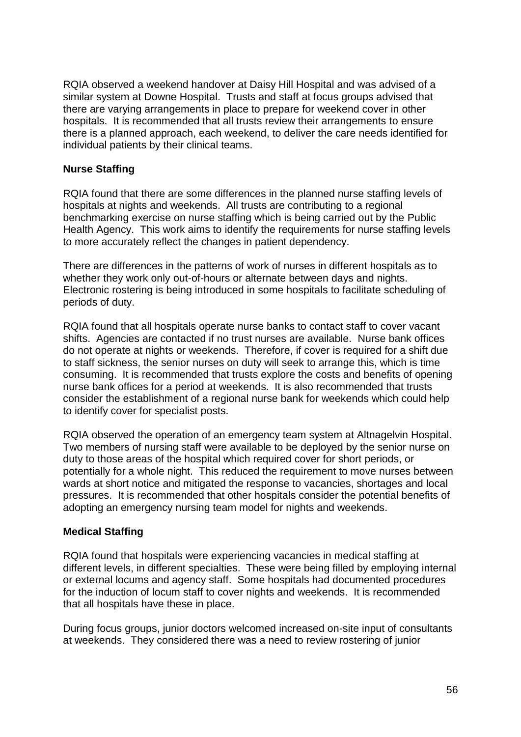RQIA observed a weekend handover at Daisy Hill Hospital and was advised of a similar system at Downe Hospital. Trusts and staff at focus groups advised that there are varying arrangements in place to prepare for weekend cover in other hospitals. It is recommended that all trusts review their arrangements to ensure there is a planned approach, each weekend, to deliver the care needs identified for individual patients by their clinical teams.

# **Nurse Staffing**

RQIA found that there are some differences in the planned nurse staffing levels of hospitals at nights and weekends. All trusts are contributing to a regional benchmarking exercise on nurse staffing which is being carried out by the Public Health Agency. This work aims to identify the requirements for nurse staffing levels to more accurately reflect the changes in patient dependency.

There are differences in the patterns of work of nurses in different hospitals as to whether they work only out-of-hours or alternate between days and nights. Electronic rostering is being introduced in some hospitals to facilitate scheduling of periods of duty.

RQIA found that all hospitals operate nurse banks to contact staff to cover vacant shifts. Agencies are contacted if no trust nurses are available. Nurse bank offices do not operate at nights or weekends. Therefore, if cover is required for a shift due to staff sickness, the senior nurses on duty will seek to arrange this, which is time consuming. It is recommended that trusts explore the costs and benefits of opening nurse bank offices for a period at weekends. It is also recommended that trusts consider the establishment of a regional nurse bank for weekends which could help to identify cover for specialist posts.

RQIA observed the operation of an emergency team system at Altnagelvin Hospital. Two members of nursing staff were available to be deployed by the senior nurse on duty to those areas of the hospital which required cover for short periods, or potentially for a whole night. This reduced the requirement to move nurses between wards at short notice and mitigated the response to vacancies, shortages and local pressures. It is recommended that other hospitals consider the potential benefits of adopting an emergency nursing team model for nights and weekends.

#### **Medical Staffing**

RQIA found that hospitals were experiencing vacancies in medical staffing at different levels, in different specialties. These were being filled by employing internal or external locums and agency staff. Some hospitals had documented procedures for the induction of locum staff to cover nights and weekends. It is recommended that all hospitals have these in place.

During focus groups, junior doctors welcomed increased on-site input of consultants at weekends. They considered there was a need to review rostering of junior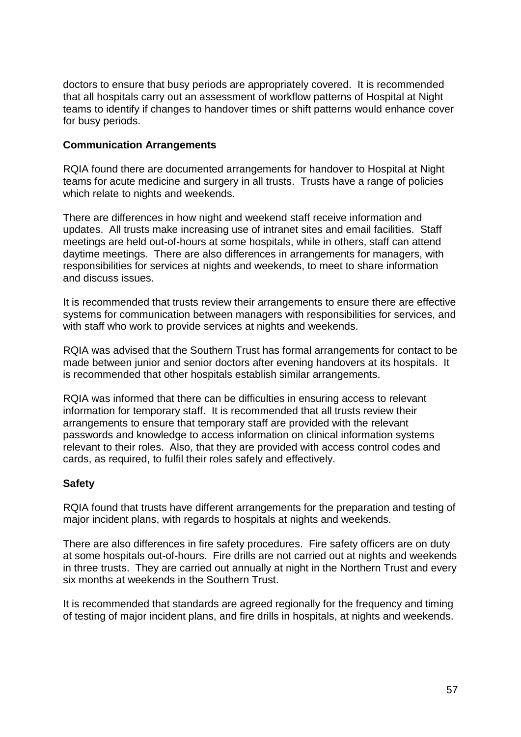doctors to ensure that busy periods are appropriately covered. It is recommended that all hospitals carry out an assessment of workflow patterns of Hospital at Night teams to identify if changes to handover times or shift patterns would enhance cover for busy periods.

#### **Communication Arrangements**

RQIA found there are documented arrangements for handover to Hospital at Night teams for acute medicine and surgery in all trusts. Trusts have a range of policies which relate to nights and weekends.

There are differences in how night and weekend staff receive information and updates. All trusts make increasing use of intranet sites and email facilities. Staff meetings are held out-of-hours at some hospitals, while in others, staff can attend daytime meetings. There are also differences in arrangements for managers, with responsibilities for services at nights and weekends, to meet to share information and discuss issues.

It is recommended that trusts review their arrangements to ensure there are effective systems for communication between managers with responsibilities for services, and with staff who work to provide services at nights and weekends.

RQIA was advised that the Southern Trust has formal arrangements for contact to be made between junior and senior doctors after evening handovers at its hospitals. It is recommended that other hospitals establish similar arrangements.

RQIA was informed that there can be difficulties in ensuring access to relevant information for temporary staff. It is recommended that all trusts review their arrangements to ensure that temporary staff are provided with the relevant passwords and knowledge to access information on clinical information systems relevant to their roles. Also, that they are provided with access control codes and cards, as required, to fulfil their roles safely and effectively.

# **Safety**

RQIA found that trusts have different arrangements for the preparation and testing of major incident plans, with regards to hospitals at nights and weekends.

There are also differences in fire safety procedures. Fire safety officers are on duty at some hospitals out-of-hours. Fire drills are not carried out at nights and weekends in three trusts. They are carried out annually at night in the Northern Trust and every six months at weekends in the Southern Trust.

It is recommended that standards are agreed regionally for the frequency and timing of testing of major incident plans, and fire drills in hospitals, at nights and weekends.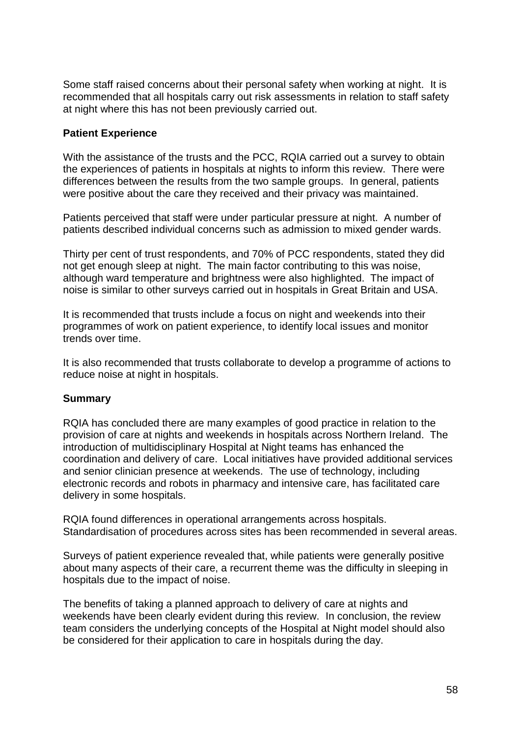Some staff raised concerns about their personal safety when working at night. It is recommended that all hospitals carry out risk assessments in relation to staff safety at night where this has not been previously carried out.

#### **Patient Experience**

With the assistance of the trusts and the PCC, RQIA carried out a survey to obtain the experiences of patients in hospitals at nights to inform this review. There were differences between the results from the two sample groups. In general, patients were positive about the care they received and their privacy was maintained.

Patients perceived that staff were under particular pressure at night. A number of patients described individual concerns such as admission to mixed gender wards.

Thirty per cent of trust respondents, and 70% of PCC respondents, stated they did not get enough sleep at night. The main factor contributing to this was noise, although ward temperature and brightness were also highlighted. The impact of noise is similar to other surveys carried out in hospitals in Great Britain and USA.

It is recommended that trusts include a focus on night and weekends into their programmes of work on patient experience, to identify local issues and monitor trends over time.

It is also recommended that trusts collaborate to develop a programme of actions to reduce noise at night in hospitals.

#### **Summary**

RQIA has concluded there are many examples of good practice in relation to the provision of care at nights and weekends in hospitals across Northern Ireland. The introduction of multidisciplinary Hospital at Night teams has enhanced the coordination and delivery of care. Local initiatives have provided additional services and senior clinician presence at weekends. The use of technology, including electronic records and robots in pharmacy and intensive care, has facilitated care delivery in some hospitals.

RQIA found differences in operational arrangements across hospitals. Standardisation of procedures across sites has been recommended in several areas.

Surveys of patient experience revealed that, while patients were generally positive about many aspects of their care, a recurrent theme was the difficulty in sleeping in hospitals due to the impact of noise.

The benefits of taking a planned approach to delivery of care at nights and weekends have been clearly evident during this review. In conclusion, the review team considers the underlying concepts of the Hospital at Night model should also be considered for their application to care in hospitals during the day.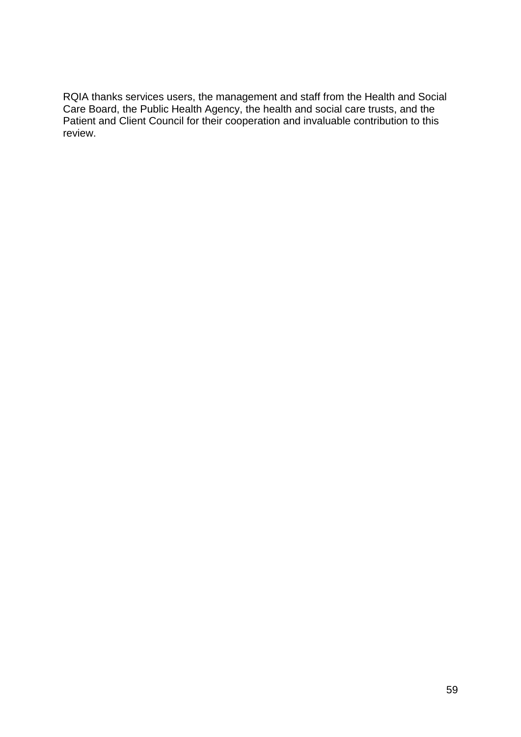RQIA thanks services users, the management and staff from the Health and Social Care Board, the Public Health Agency, the health and social care trusts, and the Patient and Client Council for their cooperation and invaluable contribution to this review.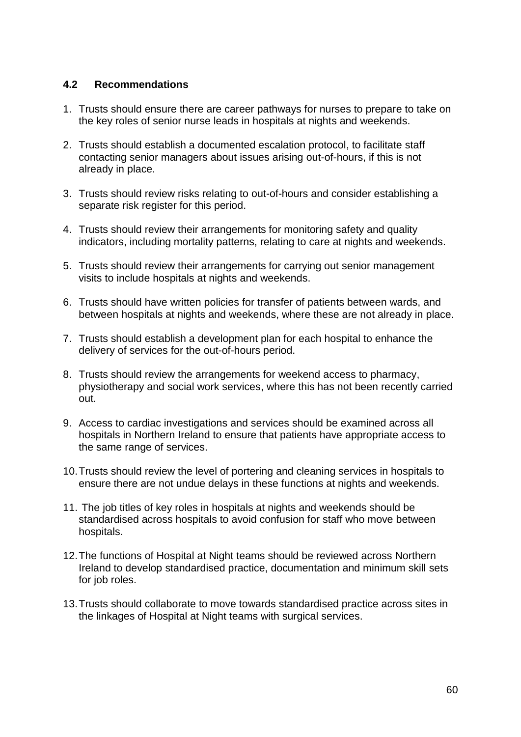#### <span id="page-62-0"></span>**4.2 Recommendations**

- 1. Trusts should ensure there are career pathways for nurses to prepare to take on the key roles of senior nurse leads in hospitals at nights and weekends.
- 2. Trusts should establish a documented escalation protocol, to facilitate staff contacting senior managers about issues arising out-of-hours, if this is not already in place.
- 3. Trusts should review risks relating to out-of-hours and consider establishing a separate risk register for this period.
- 4. Trusts should review their arrangements for monitoring safety and quality indicators, including mortality patterns, relating to care at nights and weekends.
- 5. Trusts should review their arrangements for carrying out senior management visits to include hospitals at nights and weekends.
- 6. Trusts should have written policies for transfer of patients between wards, and between hospitals at nights and weekends, where these are not already in place.
- 7. Trusts should establish a development plan for each hospital to enhance the delivery of services for the out-of-hours period.
- 8. Trusts should review the arrangements for weekend access to pharmacy, physiotherapy and social work services, where this has not been recently carried out.
- 9. Access to cardiac investigations and services should be examined across all hospitals in Northern Ireland to ensure that patients have appropriate access to the same range of services.
- 10.Trusts should review the level of portering and cleaning services in hospitals to ensure there are not undue delays in these functions at nights and weekends.
- 11. The job titles of key roles in hospitals at nights and weekends should be standardised across hospitals to avoid confusion for staff who move between hospitals.
- 12.The functions of Hospital at Night teams should be reviewed across Northern Ireland to develop standardised practice, documentation and minimum skill sets for job roles.
- 13.Trusts should collaborate to move towards standardised practice across sites in the linkages of Hospital at Night teams with surgical services.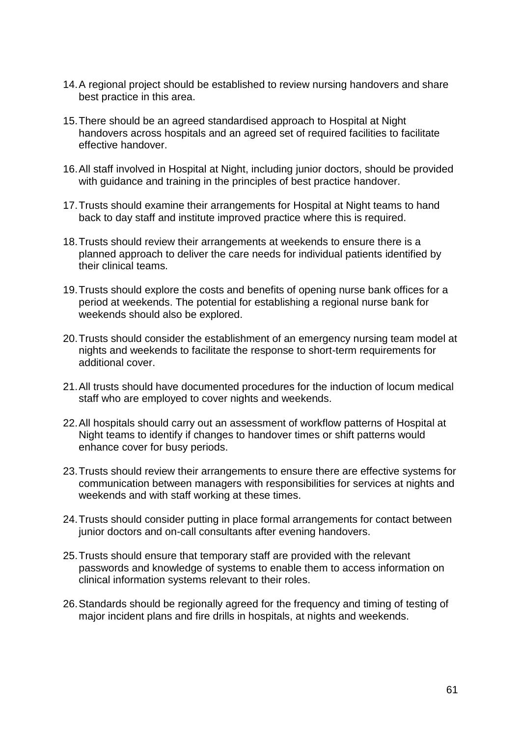- 14.A regional project should be established to review nursing handovers and share best practice in this area.
- 15.There should be an agreed standardised approach to Hospital at Night handovers across hospitals and an agreed set of required facilities to facilitate effective handover.
- 16.All staff involved in Hospital at Night, including junior doctors, should be provided with guidance and training in the principles of best practice handover.
- 17.Trusts should examine their arrangements for Hospital at Night teams to hand back to day staff and institute improved practice where this is required.
- 18.Trusts should review their arrangements at weekends to ensure there is a planned approach to deliver the care needs for individual patients identified by their clinical teams.
- 19.Trusts should explore the costs and benefits of opening nurse bank offices for a period at weekends. The potential for establishing a regional nurse bank for weekends should also be explored.
- 20.Trusts should consider the establishment of an emergency nursing team model at nights and weekends to facilitate the response to short-term requirements for additional cover.
- 21.All trusts should have documented procedures for the induction of locum medical staff who are employed to cover nights and weekends.
- 22.All hospitals should carry out an assessment of workflow patterns of Hospital at Night teams to identify if changes to handover times or shift patterns would enhance cover for busy periods.
- 23.Trusts should review their arrangements to ensure there are effective systems for communication between managers with responsibilities for services at nights and weekends and with staff working at these times.
- 24.Trusts should consider putting in place formal arrangements for contact between junior doctors and on-call consultants after evening handovers.
- 25.Trusts should ensure that temporary staff are provided with the relevant passwords and knowledge of systems to enable them to access information on clinical information systems relevant to their roles.
- 26.Standards should be regionally agreed for the frequency and timing of testing of major incident plans and fire drills in hospitals, at nights and weekends.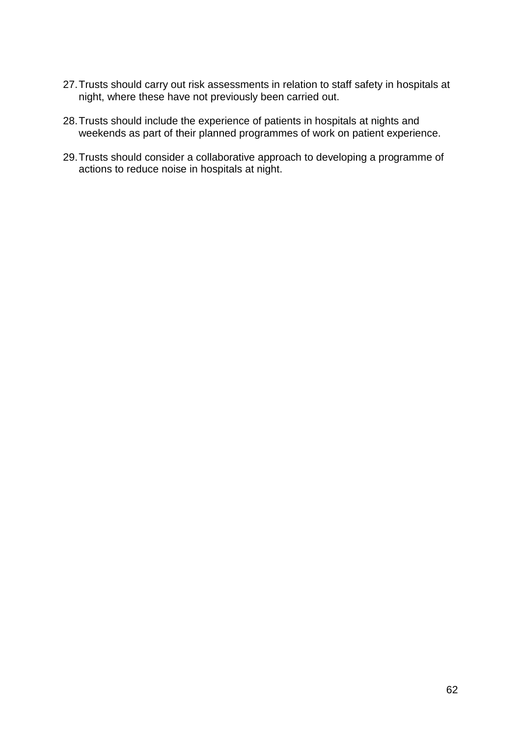- 27.Trusts should carry out risk assessments in relation to staff safety in hospitals at night, where these have not previously been carried out.
- 28.Trusts should include the experience of patients in hospitals at nights and weekends as part of their planned programmes of work on patient experience.
- 29.Trusts should consider a collaborative approach to developing a programme of actions to reduce noise in hospitals at night.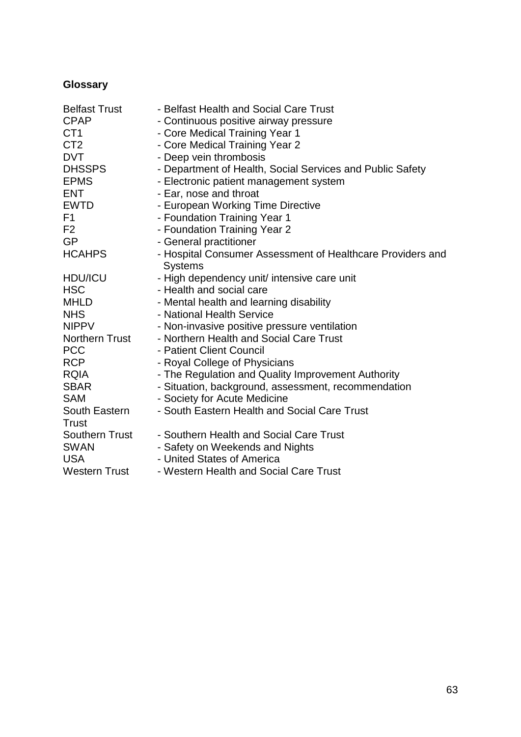# <span id="page-65-0"></span>**Glossary**

| <b>Belfast Trust</b>   | - Belfast Health and Social Care Trust                                       |
|------------------------|------------------------------------------------------------------------------|
| <b>CPAP</b>            | - Continuous positive airway pressure                                        |
| CT <sub>1</sub>        | - Core Medical Training Year 1                                               |
| CT <sub>2</sub>        | - Core Medical Training Year 2                                               |
| <b>DVT</b>             | - Deep vein thrombosis                                                       |
| <b>DHSSPS</b>          | - Department of Health, Social Services and Public Safety                    |
| <b>EPMS</b>            | - Electronic patient management system                                       |
| <b>ENT</b>             | - Ear, nose and throat                                                       |
| <b>EWTD</b>            | - European Working Time Directive                                            |
| F <sub>1</sub>         | - Foundation Training Year 1                                                 |
| F <sub>2</sub>         | - Foundation Training Year 2                                                 |
| <b>GP</b>              | - General practitioner                                                       |
| <b>HCAHPS</b>          | - Hospital Consumer Assessment of Healthcare Providers and<br><b>Systems</b> |
| <b>HDU/ICU</b>         | - High dependency unit/ intensive care unit                                  |
| <b>HSC</b>             | - Health and social care                                                     |
| <b>MHLD</b>            | - Mental health and learning disability                                      |
| <b>NHS</b>             | - National Health Service                                                    |
| <b>NIPPV</b>           | - Non-invasive positive pressure ventilation                                 |
| <b>Northern Trust</b>  | - Northern Health and Social Care Trust                                      |
| <b>PCC</b>             | - Patient Client Council                                                     |
| <b>RCP</b>             | - Royal College of Physicians                                                |
| <b>RQIA</b>            | - The Regulation and Quality Improvement Authority                           |
| <b>SBAR</b>            | - Situation, background, assessment, recommendation                          |
| <b>SAM</b>             | - Society for Acute Medicine                                                 |
| South Eastern<br>Trust | - South Eastern Health and Social Care Trust                                 |
| <b>Southern Trust</b>  | - Southern Health and Social Care Trust                                      |
| <b>SWAN</b>            | - Safety on Weekends and Nights                                              |
| <b>USA</b>             | - United States of America                                                   |
| <b>Western Trust</b>   | - Western Health and Social Care Trust                                       |
|                        |                                                                              |